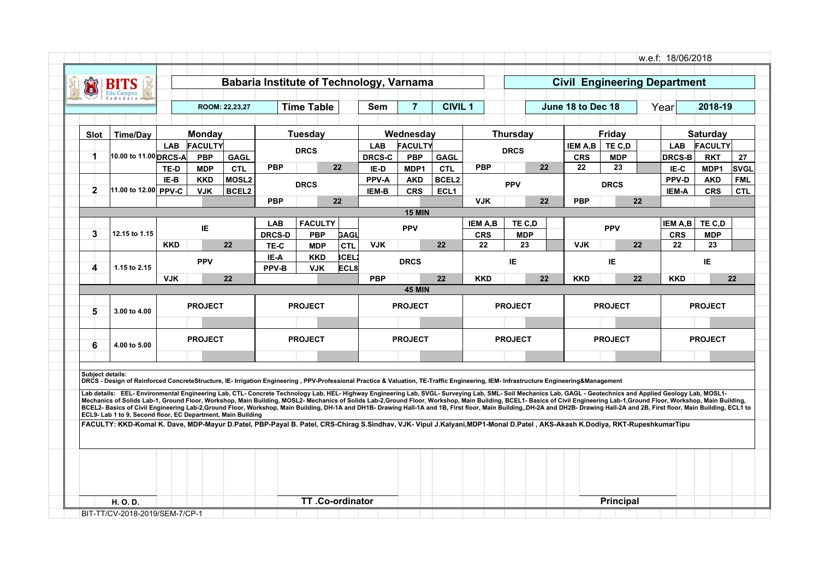| <b>Time Table</b><br>$\overline{7}$<br><b>CIVIL 1</b><br>June 18 to Dec 18<br>2018-19<br><b>Sem</b><br>Year<br>ROOM: 22,23,27<br><b>Time/Day</b><br>Monday<br><b>Tuesday</b><br>Wednesday<br><b>Thursday</b><br>Friday<br><b>Saturday</b><br>Slot<br><b>FACULTY</b><br><b>FACULTY</b><br><b>LAB</b><br><b>LAB</b><br><b>FACULTY</b><br>IEM A,B<br>TE C.D<br><b>LAB</b><br><b>DRCS</b><br><b>DRCS</b><br>10.00 to 11.00 DRCS-A<br><b>PBP</b><br><b>GAGL</b><br><b>DRCS-C</b><br><b>PBP</b><br><b>CRS</b><br><b>MDP</b><br><b>DRCS-B</b><br><b>RKT</b><br>1<br><b>GAGL</b><br><b>PBP</b><br>22<br><b>PBP</b><br>22<br>22<br>23<br><b>CTL</b><br><b>CTL</b><br><b>MDP</b><br>IE-D<br>MDP1<br>IE-C<br>MDP1<br>TE-D<br>MOSL <sub>2</sub><br>PPV-A<br>BCEL2<br>PPV-D<br>IE-B<br><b>KKD</b><br><b>AKD</b><br><b>AKD</b><br><b>PPV</b><br><b>DRCS</b><br><b>DRCS</b><br>$\mathbf{2}$<br>11.00 to 12.00 PPV-C<br>BCEL2<br><b>CRS</b><br>ECL <sub>1</sub><br><b>CRS</b><br><b>VJK</b><br>IEM-B<br><b>IEM-A</b><br><b>PBP</b><br>22<br><b>VJK</b><br>22<br><b>PBP</b><br>22<br><b>15 MIN</b><br><b>FACULTY</b><br>TE C.D<br><b>LAB</b><br><b>IEM A,B</b><br>TE C.D<br>IEM A,B<br><b>PPV</b><br><b>PPV</b><br>IE<br>3<br>12.15 to 1.15<br><b>DRCS-D</b><br><b>CRS</b><br><b>MDP</b><br><b>CRS</b><br><b>PBP</b><br><b>GAGL</b><br><b>MDP</b><br>22<br>22<br>22<br>23<br>22<br><b>KKD</b><br><b>CTL</b><br><b>VJK</b><br><b>VJK</b><br>22<br>23<br>TE-C<br><b>MDP</b><br><b>SCEL</b><br>IE-A<br><b>KKD</b><br><b>PPV</b><br>IE.<br>IE<br><b>DRCS</b><br>IE.<br>4<br>1.15 to 2.15<br>PPV-B<br>ECL8<br><b>VJK</b><br><b>VJK</b><br>22<br><b>PBP</b><br>22<br><b>KKD</b><br>22<br><b>KKD</b><br>22<br><b>KKD</b><br><b>45 MIN</b><br><b>PROJECT</b><br><b>PROJECT</b><br><b>PROJECT</b><br><b>PROJECT</b><br><b>PROJECT</b><br><b>PROJECT</b><br>5<br>3.00 to 4.00<br><b>PROJECT</b><br><b>PROJECT</b><br><b>PROJECT</b><br><b>PROJECT</b><br><b>PROJECT</b><br><b>PROJECT</b><br>6<br>4.00 to 5.00 | 27<br><b>SVGL</b><br><b>FML</b><br><b>CTL</b><br>22<br><b>Subiect details:</b><br>DRCS - Design of Reinforced ConcreteStructure, IE- Irrigation Engineering, PPV-Professional Practice & Valuation, TE-Traffic Engineering, IEM- Infrastructure Engineering&Management<br>Lab details: EEL- Environmental Engineering Lab, CTL- Concrete Technology Lab, HEL- Highway Engineering Lab, SVGL- Surveying Lab, SML- Soil Mechanics Lab, GAGL - Geotechnics and Applied Geology Lab, MOSL1- | Õ |  |  |  |  |  |  |  |  |  |  |
|-------------------------------------------------------------------------------------------------------------------------------------------------------------------------------------------------------------------------------------------------------------------------------------------------------------------------------------------------------------------------------------------------------------------------------------------------------------------------------------------------------------------------------------------------------------------------------------------------------------------------------------------------------------------------------------------------------------------------------------------------------------------------------------------------------------------------------------------------------------------------------------------------------------------------------------------------------------------------------------------------------------------------------------------------------------------------------------------------------------------------------------------------------------------------------------------------------------------------------------------------------------------------------------------------------------------------------------------------------------------------------------------------------------------------------------------------------------------------------------------------------------------------------------------------------------------------------------------------------------------------------------------------------------------------------------------------------------------------------------------------------------------------------------------------------------------------------------------------------------------------------------------------------------------------------------------------------------------------------------|-----------------------------------------------------------------------------------------------------------------------------------------------------------------------------------------------------------------------------------------------------------------------------------------------------------------------------------------------------------------------------------------------------------------------------------------------------------------------------------------|---|--|--|--|--|--|--|--|--|--|--|
|                                                                                                                                                                                                                                                                                                                                                                                                                                                                                                                                                                                                                                                                                                                                                                                                                                                                                                                                                                                                                                                                                                                                                                                                                                                                                                                                                                                                                                                                                                                                                                                                                                                                                                                                                                                                                                                                                                                                                                                     |                                                                                                                                                                                                                                                                                                                                                                                                                                                                                         |   |  |  |  |  |  |  |  |  |  |  |
|                                                                                                                                                                                                                                                                                                                                                                                                                                                                                                                                                                                                                                                                                                                                                                                                                                                                                                                                                                                                                                                                                                                                                                                                                                                                                                                                                                                                                                                                                                                                                                                                                                                                                                                                                                                                                                                                                                                                                                                     |                                                                                                                                                                                                                                                                                                                                                                                                                                                                                         |   |  |  |  |  |  |  |  |  |  |  |
|                                                                                                                                                                                                                                                                                                                                                                                                                                                                                                                                                                                                                                                                                                                                                                                                                                                                                                                                                                                                                                                                                                                                                                                                                                                                                                                                                                                                                                                                                                                                                                                                                                                                                                                                                                                                                                                                                                                                                                                     |                                                                                                                                                                                                                                                                                                                                                                                                                                                                                         |   |  |  |  |  |  |  |  |  |  |  |
|                                                                                                                                                                                                                                                                                                                                                                                                                                                                                                                                                                                                                                                                                                                                                                                                                                                                                                                                                                                                                                                                                                                                                                                                                                                                                                                                                                                                                                                                                                                                                                                                                                                                                                                                                                                                                                                                                                                                                                                     |                                                                                                                                                                                                                                                                                                                                                                                                                                                                                         |   |  |  |  |  |  |  |  |  |  |  |
|                                                                                                                                                                                                                                                                                                                                                                                                                                                                                                                                                                                                                                                                                                                                                                                                                                                                                                                                                                                                                                                                                                                                                                                                                                                                                                                                                                                                                                                                                                                                                                                                                                                                                                                                                                                                                                                                                                                                                                                     |                                                                                                                                                                                                                                                                                                                                                                                                                                                                                         |   |  |  |  |  |  |  |  |  |  |  |
|                                                                                                                                                                                                                                                                                                                                                                                                                                                                                                                                                                                                                                                                                                                                                                                                                                                                                                                                                                                                                                                                                                                                                                                                                                                                                                                                                                                                                                                                                                                                                                                                                                                                                                                                                                                                                                                                                                                                                                                     |                                                                                                                                                                                                                                                                                                                                                                                                                                                                                         |   |  |  |  |  |  |  |  |  |  |  |
|                                                                                                                                                                                                                                                                                                                                                                                                                                                                                                                                                                                                                                                                                                                                                                                                                                                                                                                                                                                                                                                                                                                                                                                                                                                                                                                                                                                                                                                                                                                                                                                                                                                                                                                                                                                                                                                                                                                                                                                     |                                                                                                                                                                                                                                                                                                                                                                                                                                                                                         |   |  |  |  |  |  |  |  |  |  |  |
|                                                                                                                                                                                                                                                                                                                                                                                                                                                                                                                                                                                                                                                                                                                                                                                                                                                                                                                                                                                                                                                                                                                                                                                                                                                                                                                                                                                                                                                                                                                                                                                                                                                                                                                                                                                                                                                                                                                                                                                     |                                                                                                                                                                                                                                                                                                                                                                                                                                                                                         |   |  |  |  |  |  |  |  |  |  |  |
|                                                                                                                                                                                                                                                                                                                                                                                                                                                                                                                                                                                                                                                                                                                                                                                                                                                                                                                                                                                                                                                                                                                                                                                                                                                                                                                                                                                                                                                                                                                                                                                                                                                                                                                                                                                                                                                                                                                                                                                     |                                                                                                                                                                                                                                                                                                                                                                                                                                                                                         |   |  |  |  |  |  |  |  |  |  |  |
|                                                                                                                                                                                                                                                                                                                                                                                                                                                                                                                                                                                                                                                                                                                                                                                                                                                                                                                                                                                                                                                                                                                                                                                                                                                                                                                                                                                                                                                                                                                                                                                                                                                                                                                                                                                                                                                                                                                                                                                     |                                                                                                                                                                                                                                                                                                                                                                                                                                                                                         |   |  |  |  |  |  |  |  |  |  |  |
|                                                                                                                                                                                                                                                                                                                                                                                                                                                                                                                                                                                                                                                                                                                                                                                                                                                                                                                                                                                                                                                                                                                                                                                                                                                                                                                                                                                                                                                                                                                                                                                                                                                                                                                                                                                                                                                                                                                                                                                     |                                                                                                                                                                                                                                                                                                                                                                                                                                                                                         |   |  |  |  |  |  |  |  |  |  |  |
|                                                                                                                                                                                                                                                                                                                                                                                                                                                                                                                                                                                                                                                                                                                                                                                                                                                                                                                                                                                                                                                                                                                                                                                                                                                                                                                                                                                                                                                                                                                                                                                                                                                                                                                                                                                                                                                                                                                                                                                     |                                                                                                                                                                                                                                                                                                                                                                                                                                                                                         |   |  |  |  |  |  |  |  |  |  |  |
|                                                                                                                                                                                                                                                                                                                                                                                                                                                                                                                                                                                                                                                                                                                                                                                                                                                                                                                                                                                                                                                                                                                                                                                                                                                                                                                                                                                                                                                                                                                                                                                                                                                                                                                                                                                                                                                                                                                                                                                     |                                                                                                                                                                                                                                                                                                                                                                                                                                                                                         |   |  |  |  |  |  |  |  |  |  |  |
|                                                                                                                                                                                                                                                                                                                                                                                                                                                                                                                                                                                                                                                                                                                                                                                                                                                                                                                                                                                                                                                                                                                                                                                                                                                                                                                                                                                                                                                                                                                                                                                                                                                                                                                                                                                                                                                                                                                                                                                     |                                                                                                                                                                                                                                                                                                                                                                                                                                                                                         |   |  |  |  |  |  |  |  |  |  |  |
|                                                                                                                                                                                                                                                                                                                                                                                                                                                                                                                                                                                                                                                                                                                                                                                                                                                                                                                                                                                                                                                                                                                                                                                                                                                                                                                                                                                                                                                                                                                                                                                                                                                                                                                                                                                                                                                                                                                                                                                     |                                                                                                                                                                                                                                                                                                                                                                                                                                                                                         |   |  |  |  |  |  |  |  |  |  |  |
|                                                                                                                                                                                                                                                                                                                                                                                                                                                                                                                                                                                                                                                                                                                                                                                                                                                                                                                                                                                                                                                                                                                                                                                                                                                                                                                                                                                                                                                                                                                                                                                                                                                                                                                                                                                                                                                                                                                                                                                     |                                                                                                                                                                                                                                                                                                                                                                                                                                                                                         |   |  |  |  |  |  |  |  |  |  |  |
|                                                                                                                                                                                                                                                                                                                                                                                                                                                                                                                                                                                                                                                                                                                                                                                                                                                                                                                                                                                                                                                                                                                                                                                                                                                                                                                                                                                                                                                                                                                                                                                                                                                                                                                                                                                                                                                                                                                                                                                     |                                                                                                                                                                                                                                                                                                                                                                                                                                                                                         |   |  |  |  |  |  |  |  |  |  |  |
|                                                                                                                                                                                                                                                                                                                                                                                                                                                                                                                                                                                                                                                                                                                                                                                                                                                                                                                                                                                                                                                                                                                                                                                                                                                                                                                                                                                                                                                                                                                                                                                                                                                                                                                                                                                                                                                                                                                                                                                     |                                                                                                                                                                                                                                                                                                                                                                                                                                                                                         |   |  |  |  |  |  |  |  |  |  |  |
|                                                                                                                                                                                                                                                                                                                                                                                                                                                                                                                                                                                                                                                                                                                                                                                                                                                                                                                                                                                                                                                                                                                                                                                                                                                                                                                                                                                                                                                                                                                                                                                                                                                                                                                                                                                                                                                                                                                                                                                     |                                                                                                                                                                                                                                                                                                                                                                                                                                                                                         |   |  |  |  |  |  |  |  |  |  |  |
|                                                                                                                                                                                                                                                                                                                                                                                                                                                                                                                                                                                                                                                                                                                                                                                                                                                                                                                                                                                                                                                                                                                                                                                                                                                                                                                                                                                                                                                                                                                                                                                                                                                                                                                                                                                                                                                                                                                                                                                     |                                                                                                                                                                                                                                                                                                                                                                                                                                                                                         |   |  |  |  |  |  |  |  |  |  |  |
| Mechanics of Solids Lab-1, Ground Floor, Workshop, Main Building, MOSL2-Mechanics of Solids Lab-2, Ground Floor, Workshop, Main Building, BCEL1- Basics of Civil Engineering Lab-1, Ground Floor, Workshop, Main Building,                                                                                                                                                                                                                                                                                                                                                                                                                                                                                                                                                                                                                                                                                                                                                                                                                                                                                                                                                                                                                                                                                                                                                                                                                                                                                                                                                                                                                                                                                                                                                                                                                                                                                                                                                          |                                                                                                                                                                                                                                                                                                                                                                                                                                                                                         |   |  |  |  |  |  |  |  |  |  |  |
| BCEL2- Basics of Civil Engineering Lab-2,Ground Floor, Workshop, Main Building, DH-1A and DH1B- Drawing Hall-1A and 1B, First floor, Main Building, DH-2A and DH2B- Drawing Hall-2A and 2B, First floor, Main Building, ECL1 t                                                                                                                                                                                                                                                                                                                                                                                                                                                                                                                                                                                                                                                                                                                                                                                                                                                                                                                                                                                                                                                                                                                                                                                                                                                                                                                                                                                                                                                                                                                                                                                                                                                                                                                                                      | ECL9- Lab 1 to 9, Second floor, EC Department, Main Building                                                                                                                                                                                                                                                                                                                                                                                                                            |   |  |  |  |  |  |  |  |  |  |  |
|                                                                                                                                                                                                                                                                                                                                                                                                                                                                                                                                                                                                                                                                                                                                                                                                                                                                                                                                                                                                                                                                                                                                                                                                                                                                                                                                                                                                                                                                                                                                                                                                                                                                                                                                                                                                                                                                                                                                                                                     | FACULTY: KKD-Komal K. Dave, MDP-Mayur D.Patel, PBP-Payal B. Patel, CRS-Chirag S.Sindhav, VJK- Vipul J.Kalyani,MDP1-Monal D.Patel, AKS-Akash K.Dodiya, RKT-RupeshkumarTipu                                                                                                                                                                                                                                                                                                               |   |  |  |  |  |  |  |  |  |  |  |
|                                                                                                                                                                                                                                                                                                                                                                                                                                                                                                                                                                                                                                                                                                                                                                                                                                                                                                                                                                                                                                                                                                                                                                                                                                                                                                                                                                                                                                                                                                                                                                                                                                                                                                                                                                                                                                                                                                                                                                                     |                                                                                                                                                                                                                                                                                                                                                                                                                                                                                         |   |  |  |  |  |  |  |  |  |  |  |
|                                                                                                                                                                                                                                                                                                                                                                                                                                                                                                                                                                                                                                                                                                                                                                                                                                                                                                                                                                                                                                                                                                                                                                                                                                                                                                                                                                                                                                                                                                                                                                                                                                                                                                                                                                                                                                                                                                                                                                                     |                                                                                                                                                                                                                                                                                                                                                                                                                                                                                         |   |  |  |  |  |  |  |  |  |  |  |
|                                                                                                                                                                                                                                                                                                                                                                                                                                                                                                                                                                                                                                                                                                                                                                                                                                                                                                                                                                                                                                                                                                                                                                                                                                                                                                                                                                                                                                                                                                                                                                                                                                                                                                                                                                                                                                                                                                                                                                                     |                                                                                                                                                                                                                                                                                                                                                                                                                                                                                         |   |  |  |  |  |  |  |  |  |  |  |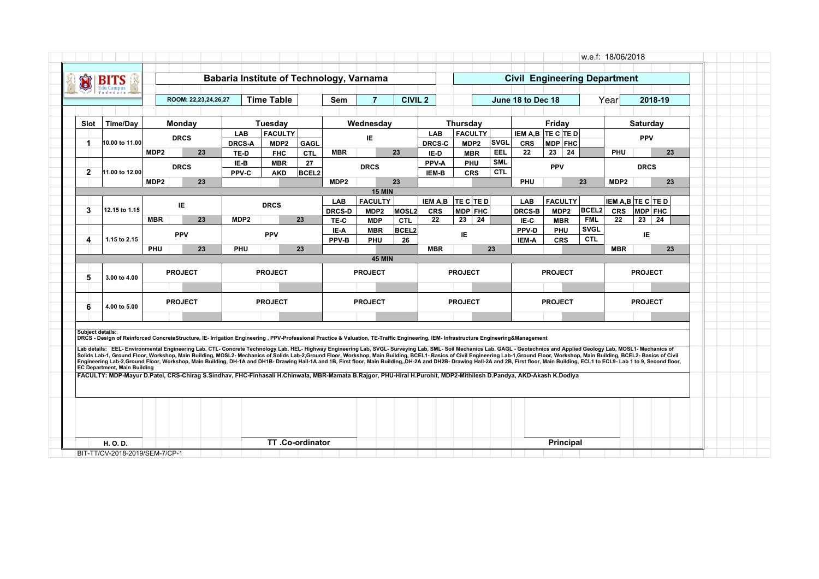| Û                | <b>BITS</b>                         |                  |                |                                                                                                                                                                                                                                                                                                                                                                                                                                                             |               | Babaria Institute of Technology, Varnama |                    |                  |                          |                            |                  |                   |    |                          | <b>Civil Engineering Department</b> |                   |    |                            |                  |                            |    |
|------------------|-------------------------------------|------------------|----------------|-------------------------------------------------------------------------------------------------------------------------------------------------------------------------------------------------------------------------------------------------------------------------------------------------------------------------------------------------------------------------------------------------------------------------------------------------------------|---------------|------------------------------------------|--------------------|------------------|--------------------------|----------------------------|------------------|-------------------|----|--------------------------|-------------------------------------|-------------------|----|----------------------------|------------------|----------------------------|----|
|                  |                                     |                  |                | ROOM: 22,23,24,26,27                                                                                                                                                                                                                                                                                                                                                                                                                                        |               | <b>Time Table</b>                        |                    | Sem              | $\overline{7}$           | <b>CIVIL 2</b>             |                  |                   |    |                          | June 18 to Dec 18                   |                   |    |                            | Year             | 2018-19                    |    |
|                  |                                     |                  |                |                                                                                                                                                                                                                                                                                                                                                                                                                                                             |               |                                          |                    |                  |                          |                            |                  |                   |    |                          |                                     |                   |    |                            |                  |                            |    |
| Slot             | <b>Time/Day</b>                     |                  | Monday         |                                                                                                                                                                                                                                                                                                                                                                                                                                                             |               | Tuesday                                  |                    |                  | Wednesday                |                            |                  | <b>Thursday</b>   |    |                          |                                     | Friday            |    |                            |                  | <b>Saturday</b>            |    |
|                  |                                     |                  |                | <b>DRCS</b>                                                                                                                                                                                                                                                                                                                                                                                                                                                 | <b>LAB</b>    | <b>FACULTY</b>                           |                    |                  | IE                       |                            | <b>LAB</b>       | <b>FACULTY</b>    |    |                          | IEM A,B TE C TE D                   |                   |    |                            |                  | <b>PPV</b>                 |    |
| $\mathbf 1$      | 10.00 to 11.00                      |                  |                |                                                                                                                                                                                                                                                                                                                                                                                                                                                             | <b>DRCS-A</b> | MDP2                                     | <b>GAGL</b>        |                  |                          |                            | <b>DRCS-C</b>    | MDP <sub>2</sub>  |    | <b>SVGL</b>              | <b>CRS</b>                          | MDP FHC           |    |                            |                  |                            |    |
|                  |                                     | MDP <sub>2</sub> |                | 23                                                                                                                                                                                                                                                                                                                                                                                                                                                          | TE-D          | <b>FHC</b><br><b>MBR</b>                 | <b>CTL</b>         | <b>MBR</b>       |                          | 23                         | IE-D<br>PPV-A    | <b>MBR</b><br>PHU |    | <b>EEL</b><br><b>SML</b> | 22                                  | 23                | 24 |                            | PHU              |                            | 23 |
| $\overline{2}$   | 11.00 to 12.00                      |                  |                | <b>DRCS</b>                                                                                                                                                                                                                                                                                                                                                                                                                                                 | IE-B<br>PPV-C | <b>AKD</b>                               | 27<br><b>BCEL2</b> |                  | <b>DRCS</b>              |                            | IEM-B            | <b>CRS</b>        |    | <b>CTL</b>               |                                     | <b>PPV</b>        |    |                            |                  | <b>DRCS</b>                |    |
|                  |                                     | MDP <sub>2</sub> |                | 23                                                                                                                                                                                                                                                                                                                                                                                                                                                          |               |                                          |                    | MDP <sub>2</sub> |                          | 23                         |                  |                   |    |                          | <b>PHU</b>                          |                   | 23 |                            | MDP <sub>2</sub> |                            | 23 |
|                  |                                     |                  |                |                                                                                                                                                                                                                                                                                                                                                                                                                                                             |               |                                          |                    |                  | <b>15 MIN</b>            |                            |                  |                   |    |                          |                                     |                   |    |                            |                  |                            |    |
|                  |                                     |                  | IE             |                                                                                                                                                                                                                                                                                                                                                                                                                                                             |               | <b>DRCS</b>                              |                    | <b>LAB</b>       | <b>FACULTY</b>           |                            | IEM A,B          | <b>TE C TE D</b>  |    |                          | <b>LAB</b>                          | <b>FACULTY</b>    |    |                            |                  | <b>IEM A,B TE C TE D</b>   |    |
| 3                | 12.15 to 1.15                       | <b>MBR</b>       |                | 23                                                                                                                                                                                                                                                                                                                                                                                                                                                          | MDP2          |                                          | 23                 | <b>DRCS-D</b>    | MDP <sub>2</sub>         | MOSL2                      | <b>CRS</b><br>22 | MDP FHC<br>23     | 24 |                          | <b>DRCS-B</b>                       | MDP <sub>2</sub>  |    | <b>BCEL2</b><br><b>FML</b> | <b>CRS</b><br>22 | <b>MDP FHC</b><br>23<br>24 |    |
|                  |                                     |                  |                |                                                                                                                                                                                                                                                                                                                                                                                                                                                             |               |                                          |                    | TE-C<br>IE-A     | <b>MDP</b><br><b>MBR</b> | <b>CTL</b><br><b>BCEL2</b> |                  |                   |    |                          | IE-C<br>PPV-D                       | <b>MBR</b><br>PHU |    | <b>SVGL</b>                |                  |                            |    |
| 4                | 1.15 to 2.15                        |                  | <b>PPV</b>     |                                                                                                                                                                                                                                                                                                                                                                                                                                                             |               | <b>PPV</b>                               |                    | PPV-B            | PHU                      | 26                         |                  | IE.               |    |                          | IEM-A                               | <b>CRS</b>        |    | <b>CTL</b>                 |                  | IE                         |    |
|                  |                                     | <b>PHU</b>       |                | 23                                                                                                                                                                                                                                                                                                                                                                                                                                                          | PHU           |                                          | 23                 |                  |                          |                            | <b>MBR</b>       |                   |    | 23                       |                                     |                   |    |                            | <b>MBR</b>       |                            | 23 |
|                  |                                     |                  |                |                                                                                                                                                                                                                                                                                                                                                                                                                                                             |               |                                          |                    |                  | <b>45 MIN</b>            |                            |                  |                   |    |                          |                                     |                   |    |                            |                  |                            |    |
|                  |                                     |                  | <b>PROJECT</b> |                                                                                                                                                                                                                                                                                                                                                                                                                                                             |               | <b>PROJECT</b>                           |                    |                  | <b>PROJECT</b>           |                            |                  | <b>PROJECT</b>    |    |                          |                                     | <b>PROJECT</b>    |    |                            |                  | <b>PROJECT</b>             |    |
| 5                | 3.00 to 4.00                        |                  |                |                                                                                                                                                                                                                                                                                                                                                                                                                                                             |               |                                          |                    |                  |                          |                            |                  |                   |    |                          |                                     |                   |    |                            |                  |                            |    |
|                  |                                     |                  |                |                                                                                                                                                                                                                                                                                                                                                                                                                                                             |               |                                          |                    |                  |                          |                            |                  |                   |    |                          |                                     |                   |    |                            |                  |                            |    |
| 6                | 4.00 to 5.00                        |                  | <b>PROJECT</b> |                                                                                                                                                                                                                                                                                                                                                                                                                                                             |               | <b>PROJECT</b>                           |                    |                  | <b>PROJECT</b>           |                            |                  | <b>PROJECT</b>    |    |                          |                                     | <b>PROJECT</b>    |    |                            |                  | <b>PROJECT</b>             |    |
|                  |                                     |                  |                |                                                                                                                                                                                                                                                                                                                                                                                                                                                             |               |                                          |                    |                  |                          |                            |                  |                   |    |                          |                                     |                   |    |                            |                  |                            |    |
| Subject details: |                                     |                  |                |                                                                                                                                                                                                                                                                                                                                                                                                                                                             |               |                                          |                    |                  |                          |                            |                  |                   |    |                          |                                     |                   |    |                            |                  |                            |    |
|                  |                                     |                  |                | DRCS - Design of Reinforced ConcreteStructure, IE- Irrigation Engineering, PPV-Professional Practice & Valuation, TE-Traffic Engineering, IEM- Infrastructure Engineering&Management                                                                                                                                                                                                                                                                        |               |                                          |                    |                  |                          |                            |                  |                   |    |                          |                                     |                   |    |                            |                  |                            |    |
|                  |                                     |                  |                | Lab details: EEL- Environmental Engineering Lab, CTL- Concrete Technology Lab, HEL- Highway Engineering Lab, SVGL- Surveying Lab, SML- Soil Mechanics Lab, GAGL - Geotechnics and Applied Geology Lab, MOSL1- Mechanics of<br>Solids Lab-1, Ground Floor, Workshop, Main Building, MOSL2- Mechanics of Solids Lab-2,Ground Floor, Workshop, Main Building, BCEL1- Basics of Civil Engineering Lab-1,Ground Floor, Workshop, Main Building, BCEL2- Basics of |               |                                          |                    |                  |                          |                            |                  |                   |    |                          |                                     |                   |    |                            |                  |                            |    |
|                  | <b>EC Department, Main Building</b> |                  |                | Engineering Lab-2,Ground Floor, Workshop, Main Building, DH-1A and DH1B- Drawing Hall-1A and 1B, First floor, Main Building, DH-2A and DH2B- Drawing Hall-2A and 2B, First floor, Main Building, ECL1 to ECL9- Lab 1 to 9, Sec                                                                                                                                                                                                                              |               |                                          |                    |                  |                          |                            |                  |                   |    |                          |                                     |                   |    |                            |                  |                            |    |
|                  |                                     |                  |                | FACULTY: MDP-Mayur D.Patel, CRS-Chirag S.Sindhav, FHC-Finhasali H.Chinwala, MBR-Mamata B.Rajgor, PHU-Hiral H.Purohit, MDP2-Mithilesh D.Pandya, AKD-Akash K.Dodiya                                                                                                                                                                                                                                                                                           |               |                                          |                    |                  |                          |                            |                  |                   |    |                          |                                     |                   |    |                            |                  |                            |    |
|                  |                                     |                  |                |                                                                                                                                                                                                                                                                                                                                                                                                                                                             |               |                                          |                    |                  |                          |                            |                  |                   |    |                          |                                     |                   |    |                            |                  |                            |    |
|                  |                                     |                  |                |                                                                                                                                                                                                                                                                                                                                                                                                                                                             |               |                                          |                    |                  |                          |                            |                  |                   |    |                          |                                     |                   |    |                            |                  |                            |    |
|                  |                                     |                  |                |                                                                                                                                                                                                                                                                                                                                                                                                                                                             |               |                                          |                    |                  |                          |                            |                  |                   |    |                          |                                     |                   |    |                            |                  |                            |    |
|                  |                                     |                  |                |                                                                                                                                                                                                                                                                                                                                                                                                                                                             |               |                                          |                    |                  |                          |                            |                  |                   |    |                          |                                     |                   |    |                            |                  |                            |    |
|                  |                                     |                  |                |                                                                                                                                                                                                                                                                                                                                                                                                                                                             |               |                                          |                    |                  |                          |                            |                  |                   |    |                          |                                     |                   |    |                            |                  |                            |    |
|                  |                                     |                  |                |                                                                                                                                                                                                                                                                                                                                                                                                                                                             |               |                                          |                    |                  |                          |                            |                  |                   |    |                          |                                     |                   |    |                            |                  |                            |    |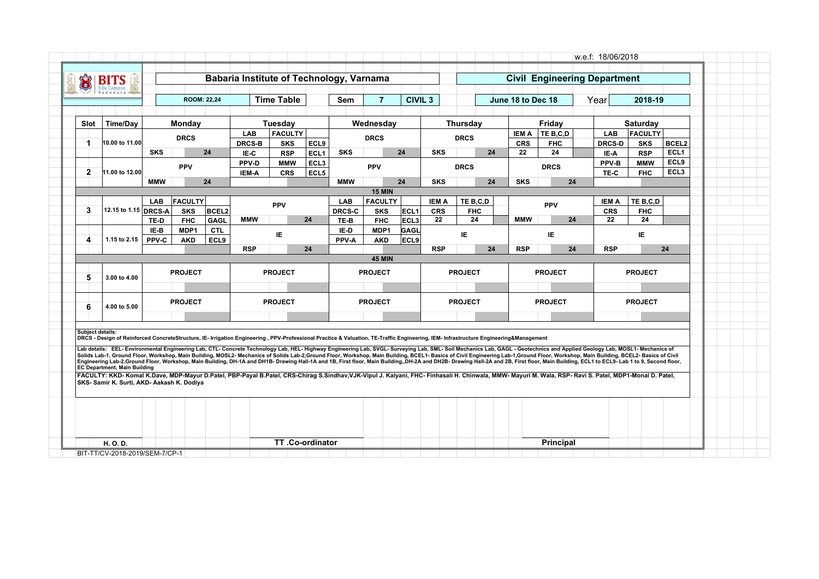| Û            | <b>BITS</b><br><b>Edu Campus</b>                                                                                                                                                                                                                                                                                                                                                                                                                            |               |                    |                    |                |                          |                                      |               |                    |                |              |                |    |                   |                |               |                          |                          |  |
|--------------|-------------------------------------------------------------------------------------------------------------------------------------------------------------------------------------------------------------------------------------------------------------------------------------------------------------------------------------------------------------------------------------------------------------------------------------------------------------|---------------|--------------------|--------------------|----------------|--------------------------|--------------------------------------|---------------|--------------------|----------------|--------------|----------------|----|-------------------|----------------|---------------|--------------------------|--------------------------|--|
|              |                                                                                                                                                                                                                                                                                                                                                                                                                                                             |               |                    | <b>ROOM: 22,24</b> |                | <b>Time Table</b>        |                                      | Sem           | $\overline{7}$     | <b>CIVIL 3</b> |              |                |    | June 18 to Dec 18 |                | Year          | 2018-19                  |                          |  |
|              |                                                                                                                                                                                                                                                                                                                                                                                                                                                             |               |                    |                    |                |                          |                                      |               |                    |                |              |                |    |                   |                |               |                          |                          |  |
| Slot         | <b>Time/Day</b>                                                                                                                                                                                                                                                                                                                                                                                                                                             |               | Monday             |                    |                | <b>Tuesday</b>           |                                      |               | Wednesday          |                |              | Thursday       |    |                   | Friday         |               | Saturday                 |                          |  |
|              |                                                                                                                                                                                                                                                                                                                                                                                                                                                             |               | <b>DRCS</b>        |                    | <b>LAB</b>     | <b>FACULTY</b>           |                                      |               | <b>DRCS</b>        |                |              | <b>DRCS</b>    |    | <b>IEM A</b>      | TE B.C.D       | <b>LAB</b>    | FACULTY                  |                          |  |
| 1            | 10.00 to 11.00                                                                                                                                                                                                                                                                                                                                                                                                                                              |               |                    |                    | <b>DRCS-B</b>  | <b>SKS</b>               | ECL9                                 |               |                    |                |              |                |    | <b>CRS</b>        | <b>FHC</b>     | <b>DRCS-D</b> | <b>SKS</b>               | <b>BCEL2</b>             |  |
|              |                                                                                                                                                                                                                                                                                                                                                                                                                                                             | <b>SKS</b>    |                    | 24                 | IE-C           | <b>RSP</b>               | ECL <sub>1</sub><br>ECL <sub>3</sub> | <b>SKS</b>    |                    | 24             | <b>SKS</b>   |                | 24 | 22                | 24             | IE-A<br>PPV-B | <b>RSP</b><br><b>MMW</b> | ECL <sub>1</sub><br>ECL9 |  |
| $\mathbf{2}$ | 11.00 to 12.00                                                                                                                                                                                                                                                                                                                                                                                                                                              |               | <b>PPV</b>         |                    | PPV-D<br>IEM-A | <b>MMW</b><br><b>CRS</b> | ECL5                                 |               | <b>PPV</b>         |                |              | <b>DRCS</b>    |    |                   | <b>DRCS</b>    | TE-C          | <b>FHC</b>               | ECL <sub>3</sub>         |  |
|              |                                                                                                                                                                                                                                                                                                                                                                                                                                                             | <b>MMW</b>    |                    | 24                 |                |                          |                                      | <b>MMW</b>    |                    | 24             | <b>SKS</b>   |                | 24 | <b>SKS</b>        | 24             |               |                          |                          |  |
|              |                                                                                                                                                                                                                                                                                                                                                                                                                                                             |               |                    |                    |                |                          |                                      |               | <b>15 MIN</b>      |                |              |                |    |                   |                |               |                          |                          |  |
|              |                                                                                                                                                                                                                                                                                                                                                                                                                                                             | <b>LAB</b>    | <b>FACULTY</b>     |                    |                | <b>PPV</b>               |                                      | <b>LAB</b>    | <b>FACULTY</b>     |                | <b>IEM A</b> | TE B,C,D       |    |                   | <b>PPV</b>     | <b>IEM A</b>  | TE B.C.D                 |                          |  |
| 3            | 12.15 to 1.15 DRCS-A                                                                                                                                                                                                                                                                                                                                                                                                                                        |               | <b>SKS</b>         | <b>BCEL2</b>       |                |                          |                                      | <b>DRCS-C</b> | <b>SKS</b>         | ECL1           | <b>CRS</b>   | <b>FHC</b>     |    |                   |                | <b>CRS</b>    | <b>FHC</b>               |                          |  |
|              |                                                                                                                                                                                                                                                                                                                                                                                                                                                             | TE-D          | <b>FHC</b>         | GAGL               | <b>MMW</b>     |                          | 24                                   | TE-B          | <b>FHC</b>         | ECL3           | 22           | 24             |    | <b>MMW</b>        | 24             | 22            | 24                       |                          |  |
| 4            | 1.15 to 2.15                                                                                                                                                                                                                                                                                                                                                                                                                                                | IE-B<br>PPV-C | MDP1<br><b>AKD</b> | <b>CTL</b><br>ECL9 |                | IE                       |                                      | IE-D<br>PPV-A | MDP1<br><b>AKD</b> | GAGL<br>ECL9   |              | ΙE             |    |                   | ΙE             |               | ΙE                       |                          |  |
|              |                                                                                                                                                                                                                                                                                                                                                                                                                                                             |               |                    |                    | <b>RSP</b>     |                          | 24                                   |               |                    |                | <b>RSP</b>   |                | 24 | <b>RSP</b>        | 24             | <b>RSP</b>    |                          | 24                       |  |
|              |                                                                                                                                                                                                                                                                                                                                                                                                                                                             |               |                    |                    |                |                          |                                      |               | <b>45 MIN</b>      |                |              |                |    |                   |                |               |                          |                          |  |
|              |                                                                                                                                                                                                                                                                                                                                                                                                                                                             |               | <b>PROJECT</b>     |                    |                | <b>PROJECT</b>           |                                      |               | <b>PROJECT</b>     |                |              | <b>PROJECT</b> |    |                   | <b>PROJECT</b> |               | <b>PROJECT</b>           |                          |  |
| 5            | 3.00 to 4.00                                                                                                                                                                                                                                                                                                                                                                                                                                                |               |                    |                    |                |                          |                                      |               |                    |                |              |                |    |                   |                |               |                          |                          |  |
|              |                                                                                                                                                                                                                                                                                                                                                                                                                                                             |               |                    |                    |                |                          |                                      |               |                    |                |              |                |    |                   |                |               |                          |                          |  |
| 6            | 4.00 to 5.00                                                                                                                                                                                                                                                                                                                                                                                                                                                |               | <b>PROJECT</b>     |                    |                | <b>PROJECT</b>           |                                      |               | <b>PROJECT</b>     |                |              | <b>PROJECT</b> |    |                   | <b>PROJECT</b> |               | <b>PROJECT</b>           |                          |  |
|              |                                                                                                                                                                                                                                                                                                                                                                                                                                                             |               |                    |                    |                |                          |                                      |               |                    |                |              |                |    |                   |                |               |                          |                          |  |
|              | Subiect details:                                                                                                                                                                                                                                                                                                                                                                                                                                            |               |                    |                    |                |                          |                                      |               |                    |                |              |                |    |                   |                |               |                          |                          |  |
|              | DRCS - Design of Reinforced ConcreteStructure, IE- Irrigation Engineering, PPV-Professional Practice & Valuation, TE-Traffic Engineering, IEM- Infrastructure Engineering&Management                                                                                                                                                                                                                                                                        |               |                    |                    |                |                          |                                      |               |                    |                |              |                |    |                   |                |               |                          |                          |  |
|              | Lab details: EEL- Environmental Engineering Lab, CTL- Concrete Technology Lab, HEL- Highway Engineering Lab, SVGL- Surveying Lab, SML- Soil Mechanics Lab, GAGL - Geotechnics and Applied Geology Lab, MOSL1- Mechanics of<br>Solids Lab-1, Ground Floor, Workshop, Main Building, MOSL2- Mechanics of Solids Lab-2,Ground Floor, Workshop, Main Building, BCEL1- Basics of Civil Engineering Lab-1,Ground Floor, Workshop, Main Building, BCEL2- Basics of |               |                    |                    |                |                          |                                      |               |                    |                |              |                |    |                   |                |               |                          |                          |  |
|              | Engineering Lab-2,Ground Floor, Workshop, Main Building, DH-1A and DH1B- Drawing Hall-1A and 1B, First floor, Main Building, DH-2A and DH2B- Drawing Hall-2A and 2B, First floor, Main Building, ECL1 to ECL9- Lab 1 to 9, Sec                                                                                                                                                                                                                              |               |                    |                    |                |                          |                                      |               |                    |                |              |                |    |                   |                |               |                          |                          |  |
|              | <b>EC Department, Main Building</b><br>FACULTY: KKD- Komal K.Dave, MDP-Mayur D.Patel, PBP-Payal B.Patel, CRS-Chirag S.Sindhav,VJK-Vipul J. Kalyani, FHC- Finhasali H. Chinwala, MMW- Mayuri M. Wala, RSP- Ravi S. Patel, MDP1-Monal D. Patel,                                                                                                                                                                                                               |               |                    |                    |                |                          |                                      |               |                    |                |              |                |    |                   |                |               |                          |                          |  |
|              | <b>SKS- Samir K. Surti. AKD- Aakash K. Dodiva</b>                                                                                                                                                                                                                                                                                                                                                                                                           |               |                    |                    |                |                          |                                      |               |                    |                |              |                |    |                   |                |               |                          |                          |  |
|              |                                                                                                                                                                                                                                                                                                                                                                                                                                                             |               |                    |                    |                |                          |                                      |               |                    |                |              |                |    |                   |                |               |                          |                          |  |
|              |                                                                                                                                                                                                                                                                                                                                                                                                                                                             |               |                    |                    |                |                          |                                      |               |                    |                |              |                |    |                   |                |               |                          |                          |  |
|              |                                                                                                                                                                                                                                                                                                                                                                                                                                                             |               |                    |                    |                |                          |                                      |               |                    |                |              |                |    |                   |                |               |                          |                          |  |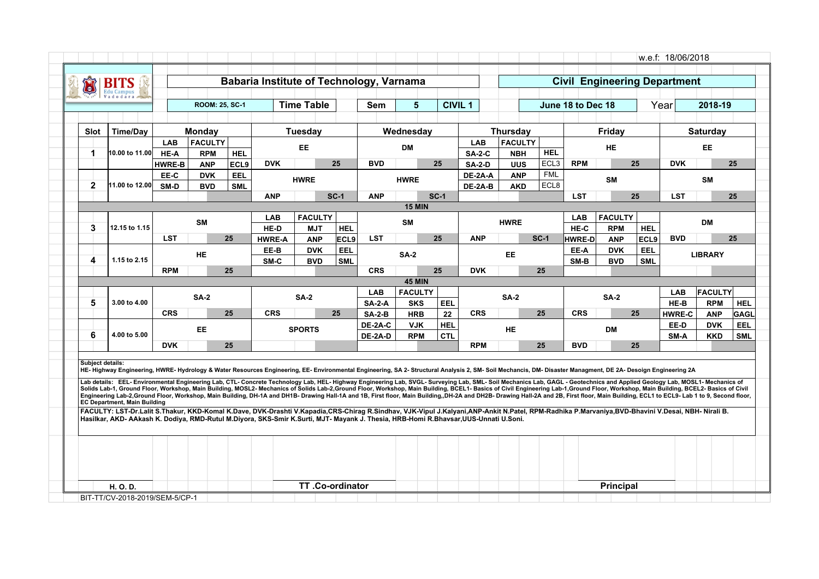| Õ                | Bl                                                                                                                                                                                                                                                                                                                                                                                                                                                                                                                                                                                                                                                                                                                                                                                                                                                                                                                                                                                                                                                                                                                                                                                                                                                                                        |               |                       |            |               |                          |                   | Babaria Institute of Technology, Varnama |                          |                |               |                 |                    |                   | <b>Civil Engineering Department</b> |                   |                       |                          |                           |
|------------------|-------------------------------------------------------------------------------------------------------------------------------------------------------------------------------------------------------------------------------------------------------------------------------------------------------------------------------------------------------------------------------------------------------------------------------------------------------------------------------------------------------------------------------------------------------------------------------------------------------------------------------------------------------------------------------------------------------------------------------------------------------------------------------------------------------------------------------------------------------------------------------------------------------------------------------------------------------------------------------------------------------------------------------------------------------------------------------------------------------------------------------------------------------------------------------------------------------------------------------------------------------------------------------------------|---------------|-----------------------|------------|---------------|--------------------------|-------------------|------------------------------------------|--------------------------|----------------|---------------|-----------------|--------------------|-------------------|-------------------------------------|-------------------|-----------------------|--------------------------|---------------------------|
|                  |                                                                                                                                                                                                                                                                                                                                                                                                                                                                                                                                                                                                                                                                                                                                                                                                                                                                                                                                                                                                                                                                                                                                                                                                                                                                                           |               | <b>ROOM: 25, SC-1</b> |            |               | <b>Time Table</b>        |                   | Sem                                      | 5                        | <b>CIVIL 1</b> |               |                 |                    | June 18 to Dec 18 |                                     | Year              |                       | 2018-19                  |                           |
| <b>Slot</b>      | <b>Time/Day</b>                                                                                                                                                                                                                                                                                                                                                                                                                                                                                                                                                                                                                                                                                                                                                                                                                                                                                                                                                                                                                                                                                                                                                                                                                                                                           |               | <b>Monday</b>         |            |               | Tuesdav                  |                   |                                          | Wednesday                |                |               | <b>Thursday</b> |                    |                   | Friday                              |                   |                       | <b>Saturday</b>          |                           |
|                  |                                                                                                                                                                                                                                                                                                                                                                                                                                                                                                                                                                                                                                                                                                                                                                                                                                                                                                                                                                                                                                                                                                                                                                                                                                                                                           | <b>LAB</b>    | <b>FACULTY</b>        |            |               |                          |                   |                                          |                          |                | <b>LAB</b>    | <b>FACULTY</b>  |                    |                   |                                     |                   |                       |                          |                           |
| 1                | 10.00 to 11.00                                                                                                                                                                                                                                                                                                                                                                                                                                                                                                                                                                                                                                                                                                                                                                                                                                                                                                                                                                                                                                                                                                                                                                                                                                                                            | HE-A          | <b>RPM</b>            | <b>HEL</b> |               | <b>EE</b>                |                   |                                          | DМ                       |                | <b>SA-2-C</b> | <b>NBH</b>      | <b>HEL</b>         |                   | HE.                                 |                   |                       | EE                       |                           |
|                  |                                                                                                                                                                                                                                                                                                                                                                                                                                                                                                                                                                                                                                                                                                                                                                                                                                                                                                                                                                                                                                                                                                                                                                                                                                                                                           | <b>HWRE-B</b> | <b>ANP</b>            | ECL9       | <b>DVK</b>    |                          | 25                | <b>BVD</b>                               |                          | 25             | <b>SA-2-D</b> | <b>UUS</b>      | ECL <sub>3</sub>   | <b>RPM</b>        |                                     | 25                | <b>DVK</b>            |                          | 25                        |
|                  |                                                                                                                                                                                                                                                                                                                                                                                                                                                                                                                                                                                                                                                                                                                                                                                                                                                                                                                                                                                                                                                                                                                                                                                                                                                                                           | EE-C          | <b>DVK</b>            | EEL        |               | <b>HWRE</b>              |                   |                                          | <b>HWRE</b>              |                | DE-2A-A       | <b>ANP</b>      | <b>FML</b><br>ECL8 |                   | <b>SM</b>                           |                   |                       | <b>SM</b>                |                           |
| $\mathbf{2}$     | 11.00 to 12.00                                                                                                                                                                                                                                                                                                                                                                                                                                                                                                                                                                                                                                                                                                                                                                                                                                                                                                                                                                                                                                                                                                                                                                                                                                                                            | SM-D          | <b>BVD</b>            | <b>SML</b> | <b>ANP</b>    |                          | $SC-1$            | <b>ANP</b>                               |                          | $SC-1$         | DE-2A-B       | <b>AKD</b>      |                    | <b>LST</b>        |                                     | 25                | <b>LST</b>            |                          | 25                        |
|                  |                                                                                                                                                                                                                                                                                                                                                                                                                                                                                                                                                                                                                                                                                                                                                                                                                                                                                                                                                                                                                                                                                                                                                                                                                                                                                           |               |                       |            |               |                          |                   |                                          | <b>15 MIN</b>            |                |               |                 |                    |                   |                                     |                   |                       |                          |                           |
|                  |                                                                                                                                                                                                                                                                                                                                                                                                                                                                                                                                                                                                                                                                                                                                                                                                                                                                                                                                                                                                                                                                                                                                                                                                                                                                                           |               | <b>SM</b>             |            | LAB           | <b>FACULTY</b>           |                   |                                          | <b>SM</b>                |                |               | <b>HWRE</b>     |                    | <b>LAB</b>        | <b>FACULTY</b>                      |                   |                       | <b>DM</b>                |                           |
| 3                | 12.15 to 1.15                                                                                                                                                                                                                                                                                                                                                                                                                                                                                                                                                                                                                                                                                                                                                                                                                                                                                                                                                                                                                                                                                                                                                                                                                                                                             |               |                       |            | HE-D          | <b>MJT</b>               | <b>HEL</b>        |                                          |                          |                |               |                 |                    | HE-C              | <b>RPM</b>                          | <b>HEL</b>        |                       |                          |                           |
|                  |                                                                                                                                                                                                                                                                                                                                                                                                                                                                                                                                                                                                                                                                                                                                                                                                                                                                                                                                                                                                                                                                                                                                                                                                                                                                                           | <b>LST</b>    |                       | 25         | <b>HWRE-A</b> | <b>ANP</b>               | ECL9              | <b>LST</b>                               |                          | 25             | <b>ANP</b>    |                 | $SC-1$             | <b>HWRE-D</b>     | <b>ANP</b>                          | ECL9              | <b>BVD</b>            |                          | 25                        |
| 4                | 1.15 to 2.15                                                                                                                                                                                                                                                                                                                                                                                                                                                                                                                                                                                                                                                                                                                                                                                                                                                                                                                                                                                                                                                                                                                                                                                                                                                                              |               | <b>HE</b>             |            | EE-B<br>SM-C  | <b>DVK</b><br><b>BVD</b> | EEL<br><b>SML</b> |                                          | $SA-2$                   |                |               | <b>EE</b>       |                    | EE-A<br>SM-B      | <b>DVK</b><br><b>BVD</b>            | EEL<br><b>SML</b> |                       | <b>LIBRARY</b>           |                           |
|                  |                                                                                                                                                                                                                                                                                                                                                                                                                                                                                                                                                                                                                                                                                                                                                                                                                                                                                                                                                                                                                                                                                                                                                                                                                                                                                           | <b>RPM</b>    |                       | 25         |               |                          |                   | <b>CRS</b>                               |                          | 25             | <b>DVK</b>    |                 | 25                 |                   |                                     |                   |                       |                          |                           |
|                  |                                                                                                                                                                                                                                                                                                                                                                                                                                                                                                                                                                                                                                                                                                                                                                                                                                                                                                                                                                                                                                                                                                                                                                                                                                                                                           |               |                       |            |               |                          |                   |                                          | <b>45 MIN</b>            |                |               |                 |                    |                   |                                     |                   |                       |                          |                           |
|                  |                                                                                                                                                                                                                                                                                                                                                                                                                                                                                                                                                                                                                                                                                                                                                                                                                                                                                                                                                                                                                                                                                                                                                                                                                                                                                           |               | <b>SA-2</b>           |            |               | <b>SA-2</b>              |                   | <b>LAB</b>                               | <b>FACULTY</b>           |                |               | <b>SA-2</b>     |                    |                   | <b>SA-2</b>                         |                   | <b>LAB</b>            | <b>FACULTY</b>           |                           |
| 5                | 3.00 to 4.00                                                                                                                                                                                                                                                                                                                                                                                                                                                                                                                                                                                                                                                                                                                                                                                                                                                                                                                                                                                                                                                                                                                                                                                                                                                                              | <b>CRS</b>    |                       | 25         | <b>CRS</b>    |                          | 25                | $SA-2-A$<br>$SA-2-B$                     | <b>SKS</b><br><b>HRB</b> | EEL<br>22      | <b>CRS</b>    |                 | 25                 | <b>CRS</b>        |                                     | 25                | HE-B<br><b>HWRE-C</b> | <b>RPM</b><br><b>ANP</b> | <b>HEL</b><br><b>GAGL</b> |
|                  |                                                                                                                                                                                                                                                                                                                                                                                                                                                                                                                                                                                                                                                                                                                                                                                                                                                                                                                                                                                                                                                                                                                                                                                                                                                                                           |               |                       |            |               |                          |                   | DE-2A-C                                  | <b>VJK</b>               | HEL            |               |                 |                    |                   |                                     |                   | EE-D                  | <b>DVK</b>               | <b>EEL</b>                |
| 6                | 4.00 to 5.00                                                                                                                                                                                                                                                                                                                                                                                                                                                                                                                                                                                                                                                                                                                                                                                                                                                                                                                                                                                                                                                                                                                                                                                                                                                                              |               | <b>EE</b>             |            |               | <b>SPORTS</b>            |                   | DE-2A-D                                  | <b>RPM</b>               | CTL            |               | <b>HE</b>       |                    |                   | <b>DM</b>                           |                   | SM-A                  | <b>KKD</b>               | <b>SML</b>                |
|                  |                                                                                                                                                                                                                                                                                                                                                                                                                                                                                                                                                                                                                                                                                                                                                                                                                                                                                                                                                                                                                                                                                                                                                                                                                                                                                           | <b>DVK</b>    |                       | 25         |               |                          |                   |                                          |                          |                | <b>RPM</b>    |                 | 25                 | <b>BVD</b>        |                                     | 25                |                       |                          |                           |
| Subiect details: | HE-Highway Engineering, HWRE-Hydrology & Water Resources Engineering, EE-Environmental Engineering, SA 2-Structural Analysis 2, SM-Soil Mechancis, DM-Disaster Managment, DE 2A-Desoign Engineering 2A<br>Lab details: EEL-Environmental Engineering Lab, CTL- Concrete Technology Lab, HEL- Highway Engineering Lab, SVGL- Surveying Lab, SML- Soil Mechanics Lab, GAGL - Geotechnics and Applied Geology Lab, MOSL1- Mechanics of<br>Solids Lab-1, Ground Floor, Workshop, Main Building, MOSL2- Mechanics of Solids Lab-2, Ground Floor, Workshop, Main Building, BCEL1- Basics of Civil Engineering Lab-1, Ground Floor, Workshop, Main Building, BCEL2- Basics o<br>Engineering Lab-2,Ground Floor, Workshop, Main Building, DH-1A and DH1B- Drawing Hall-1A and 1B, First floor, Main Building, DH-2A and DH2B- Drawing Hall-2A and 2B, First floor, Main Building, ECL1 to ECL9- Lab 1 to 9, Sec<br><b>EC Department, Main Building</b><br>FACULTY: LST-Dr.Lalit S.Thakur, KKD-Komal K.Dave, DVK-Drashti V.Kapadia,CRS-Chiraq R.Sindhav, VJK-Vipul J.Kalyani,ANP-Ankit N.Patel, RPM-Radhika P.Marvaniya,BVD-Bhavini V.Desai, NBH- Nirali B.<br>Hasilkar, AKD- AAkash K. Dodiya, RMD-Rutul M.Diyora, SKS-Smir K.Surti, MJT- Mayank J. Thesia, HRB-Homi R.Bhavsar,UUS-Unnati U.Soni. |               |                       |            |               |                          |                   |                                          |                          |                |               |                 |                    |                   |                                     |                   |                       |                          |                           |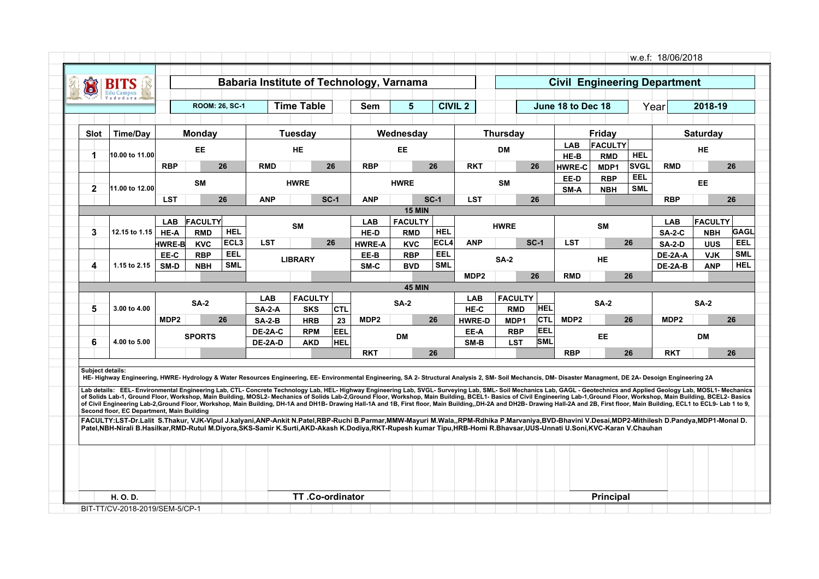| <b>Time Table</b><br>$5\phantom{1}$<br><b>CIVIL 2</b><br>2018-19<br><b>ROOM: 26, SC-1</b><br><b>Sem</b><br>June 18 to Dec 18<br>Year<br><b>Thursday</b><br>Friday<br>Monday<br>Tuesday<br>Wednesday<br>Saturday<br><b>Slot</b><br>Time/Day<br><b>FACULTY</b><br><b>LAB</b><br>EE.<br><b>HE</b><br>EE<br>DM<br>HE<br><b>HEL</b><br>10.00 to 11.00<br>1<br>HE-B<br><b>RMD</b><br><b>RBP</b><br><b>SVGL</b><br>26<br><b>RMD</b><br>26<br><b>RBP</b><br>26<br><b>RKT</b><br>26<br><b>RMD</b><br><b>HWRE-C</b><br>MDP1<br>EEL<br>EE-D<br><b>RBP</b><br><b>SM</b><br><b>SM</b><br>EE<br><b>HWRE</b><br><b>HWRE</b><br><b>SML</b><br>$\mathbf{2}$<br>11.00 to 12.00<br>SM-A<br><b>NBH</b><br>$SC-1$<br><b>LST</b><br>26<br><b>ANP</b><br>$SC-1$<br><b>ANP</b><br><b>LST</b><br>26<br><b>RBP</b><br><b>15 MIN</b><br><b>FACULTY</b><br><b>FACULTY</b><br><b>FACULTY</b><br><b>LAB</b><br><b>LAB</b><br>LAB<br><b>SM</b><br><b>HWRE</b><br>SM<br><b>HEL</b><br>3<br><b>HEL</b><br>12.15 to 1.15<br>HE-A<br><b>RMD</b><br>HE-D<br><b>RMD</b><br><b>SA-2-C</b><br><b>NBH</b><br>ECL <sub>3</sub><br>ECL4<br><b>LST</b><br><b>ANP</b><br>$SC-1$<br><b>LST</b><br>26<br>26<br>HWRE-B<br><b>KVC</b><br><b>HWRE-A</b><br><b>KVC</b><br><b>SA-2-D</b><br><b>UUS</b><br>EEL<br>EEL<br><b>RBP</b><br>EE-B<br><b>RBP</b><br>DE-2A-A<br><b>VJK</b><br>EE-C<br><b>LIBRARY</b><br><b>SA-2</b><br><b>HE</b><br><b>SML</b><br><b>SML</b><br>4<br>1.15 to 2.15<br>SM-D<br><b>NBH</b><br><b>BVD</b><br>SM-C<br>DE-2A-B<br><b>ANP</b><br>MDP <sub>2</sub><br>26<br><b>RMD</b><br>26<br><b>45 MIN</b><br><b>FACULTY</b><br><b>FACULTY</b><br><b>LAB</b><br><b>LAB</b><br><b>SA-2</b><br><b>SA-2</b><br><b>SA-2</b><br><b>SA-2</b><br>5<br><b>HEL</b><br>3.00 to 4.00<br><b>SA-2-A</b><br><b>SKS</b><br><b>CTL</b><br>HE-C<br><b>RMD</b><br>MDP <sub>2</sub><br>ICTL<br>26<br>MDP <sub>2</sub><br>26<br>MDP2<br>26<br>MDP <sub>2</sub><br>23<br><b>HRB</b><br><b>HWRE-D</b><br>MDP1<br>$SA-2-B$<br><b>IEEL</b><br>EEL<br>DE-2A-C<br><b>RPM</b><br><b>RBP</b><br>EE-A<br>EE.<br><b>SPORTS</b><br><b>DM</b><br><b>DM</b><br><b>SML</b><br>6<br>4.00 to 5.00<br><b>HEL</b><br>DE-2A-D<br><b>AKD</b><br>SM-B<br><b>LST</b><br>26<br><b>RBP</b><br>26<br><b>RKT</b><br><b>RKT</b> | 26<br>26<br>Subject details:<br>HE-Highway Engineering, HWRE-Hydrology & Water Resources Engineering, EE-Environmental Engineering, SA 2-Structural Analysis 2, SM-Soil Mechancis, DM-Disaster Managment, DE 2A-Desoign Engineering 2A<br>Lab details: EEL-Environmental Engineering Lab, CTL-Concrete Technology Lab, HEL-Highway Engineering Lab, SVGL-Surveying Lab, SML-Soil Mechanics Lab, GAGL - Geotechnics and Applied Geology Lab, MOSL1- Mechanics<br>of Solids Lab-1, Ground Floor, Workshop, Main Building, MOSL2- Mechanics of Solids Lab-2, Ground Floor, Workshop, Main Building, BCEL1- Basics of Civil Engineering Lab-1, Ground Floor, Workshop, Main Building, BCEL2- Basic<br>of Civil Engineering Lab-2,Ground Floor, Workshop, Main Building, DH-1A and DH1B- Drawing Hall-1A and 1B, First floor, Main Building, DH-2A and DH2B- Drawing Hall-2A and 2B, First floor, Main Building, ECL1 to ECL9- Lab 1<br>Second floor, EC Department, Main Building<br>FACULTY:LST-Dr.Lalit S.Thakur, VJK-Vipul J.kalyani,ANP-Ankit N.Patel,RBP-Ruchi B.Parmar,MMW-Mayuri M.Wala,,RPM-Rdhika P.Marvaniya,BVD-Bhavini V.Desai,MDP2-Mithilesh D.Pandya,MDP1-Monal D.<br>Patel,NBH-Nirali B.Hasilkar,RMD-Rutul M.Diyora,SKS-Samir K.Surti,AKD-Akash K.Dodiya,RKT-Rupesh kumar Tipu,HRB-Homi R.Bhavsar,UUS-Unnati U.Soni,KVC-Karan V.Chauhan | Õ | BIT<br>Edu Campus |  | Babaria Institute of Technology, Varnama |  |  |  |  |  | <b>Civil Engineering Department</b> |                           |
|-------------------------------------------------------------------------------------------------------------------------------------------------------------------------------------------------------------------------------------------------------------------------------------------------------------------------------------------------------------------------------------------------------------------------------------------------------------------------------------------------------------------------------------------------------------------------------------------------------------------------------------------------------------------------------------------------------------------------------------------------------------------------------------------------------------------------------------------------------------------------------------------------------------------------------------------------------------------------------------------------------------------------------------------------------------------------------------------------------------------------------------------------------------------------------------------------------------------------------------------------------------------------------------------------------------------------------------------------------------------------------------------------------------------------------------------------------------------------------------------------------------------------------------------------------------------------------------------------------------------------------------------------------------------------------------------------------------------------------------------------------------------------------------------------------------------------------------------------------------------------------------------------------------------------------------------------------------------------------------------------------------------------------------------------------------------------------------------------------------------------------------------------------------------------------------------------------------------------------------------------|----------------------------------------------------------------------------------------------------------------------------------------------------------------------------------------------------------------------------------------------------------------------------------------------------------------------------------------------------------------------------------------------------------------------------------------------------------------------------------------------------------------------------------------------------------------------------------------------------------------------------------------------------------------------------------------------------------------------------------------------------------------------------------------------------------------------------------------------------------------------------------------------------------------------------------------------------------------------------------------------------------------------------------------------------------------------------------------------------------------------------------------------------------------------------------------------------------------------------------------------------------------------------------------------------------------------------------------------------|---|-------------------|--|------------------------------------------|--|--|--|--|--|-------------------------------------|---------------------------|
|                                                                                                                                                                                                                                                                                                                                                                                                                                                                                                                                                                                                                                                                                                                                                                                                                                                                                                                                                                                                                                                                                                                                                                                                                                                                                                                                                                                                                                                                                                                                                                                                                                                                                                                                                                                                                                                                                                                                                                                                                                                                                                                                                                                                                                                 |                                                                                                                                                                                                                                                                                                                                                                                                                                                                                                                                                                                                                                                                                                                                                                                                                                                                                                                                                                                                                                                                                                                                                                                                                                                                                                                                                    |   |                   |  |                                          |  |  |  |  |  |                                     |                           |
|                                                                                                                                                                                                                                                                                                                                                                                                                                                                                                                                                                                                                                                                                                                                                                                                                                                                                                                                                                                                                                                                                                                                                                                                                                                                                                                                                                                                                                                                                                                                                                                                                                                                                                                                                                                                                                                                                                                                                                                                                                                                                                                                                                                                                                                 |                                                                                                                                                                                                                                                                                                                                                                                                                                                                                                                                                                                                                                                                                                                                                                                                                                                                                                                                                                                                                                                                                                                                                                                                                                                                                                                                                    |   |                   |  |                                          |  |  |  |  |  |                                     |                           |
|                                                                                                                                                                                                                                                                                                                                                                                                                                                                                                                                                                                                                                                                                                                                                                                                                                                                                                                                                                                                                                                                                                                                                                                                                                                                                                                                                                                                                                                                                                                                                                                                                                                                                                                                                                                                                                                                                                                                                                                                                                                                                                                                                                                                                                                 |                                                                                                                                                                                                                                                                                                                                                                                                                                                                                                                                                                                                                                                                                                                                                                                                                                                                                                                                                                                                                                                                                                                                                                                                                                                                                                                                                    |   |                   |  |                                          |  |  |  |  |  |                                     |                           |
|                                                                                                                                                                                                                                                                                                                                                                                                                                                                                                                                                                                                                                                                                                                                                                                                                                                                                                                                                                                                                                                                                                                                                                                                                                                                                                                                                                                                                                                                                                                                                                                                                                                                                                                                                                                                                                                                                                                                                                                                                                                                                                                                                                                                                                                 |                                                                                                                                                                                                                                                                                                                                                                                                                                                                                                                                                                                                                                                                                                                                                                                                                                                                                                                                                                                                                                                                                                                                                                                                                                                                                                                                                    |   |                   |  |                                          |  |  |  |  |  |                                     |                           |
|                                                                                                                                                                                                                                                                                                                                                                                                                                                                                                                                                                                                                                                                                                                                                                                                                                                                                                                                                                                                                                                                                                                                                                                                                                                                                                                                                                                                                                                                                                                                                                                                                                                                                                                                                                                                                                                                                                                                                                                                                                                                                                                                                                                                                                                 |                                                                                                                                                                                                                                                                                                                                                                                                                                                                                                                                                                                                                                                                                                                                                                                                                                                                                                                                                                                                                                                                                                                                                                                                                                                                                                                                                    |   |                   |  |                                          |  |  |  |  |  |                                     |                           |
|                                                                                                                                                                                                                                                                                                                                                                                                                                                                                                                                                                                                                                                                                                                                                                                                                                                                                                                                                                                                                                                                                                                                                                                                                                                                                                                                                                                                                                                                                                                                                                                                                                                                                                                                                                                                                                                                                                                                                                                                                                                                                                                                                                                                                                                 |                                                                                                                                                                                                                                                                                                                                                                                                                                                                                                                                                                                                                                                                                                                                                                                                                                                                                                                                                                                                                                                                                                                                                                                                                                                                                                                                                    |   |                   |  |                                          |  |  |  |  |  |                                     |                           |
|                                                                                                                                                                                                                                                                                                                                                                                                                                                                                                                                                                                                                                                                                                                                                                                                                                                                                                                                                                                                                                                                                                                                                                                                                                                                                                                                                                                                                                                                                                                                                                                                                                                                                                                                                                                                                                                                                                                                                                                                                                                                                                                                                                                                                                                 |                                                                                                                                                                                                                                                                                                                                                                                                                                                                                                                                                                                                                                                                                                                                                                                                                                                                                                                                                                                                                                                                                                                                                                                                                                                                                                                                                    |   |                   |  |                                          |  |  |  |  |  |                                     |                           |
|                                                                                                                                                                                                                                                                                                                                                                                                                                                                                                                                                                                                                                                                                                                                                                                                                                                                                                                                                                                                                                                                                                                                                                                                                                                                                                                                                                                                                                                                                                                                                                                                                                                                                                                                                                                                                                                                                                                                                                                                                                                                                                                                                                                                                                                 |                                                                                                                                                                                                                                                                                                                                                                                                                                                                                                                                                                                                                                                                                                                                                                                                                                                                                                                                                                                                                                                                                                                                                                                                                                                                                                                                                    |   |                   |  |                                          |  |  |  |  |  |                                     | 26                        |
|                                                                                                                                                                                                                                                                                                                                                                                                                                                                                                                                                                                                                                                                                                                                                                                                                                                                                                                                                                                                                                                                                                                                                                                                                                                                                                                                                                                                                                                                                                                                                                                                                                                                                                                                                                                                                                                                                                                                                                                                                                                                                                                                                                                                                                                 |                                                                                                                                                                                                                                                                                                                                                                                                                                                                                                                                                                                                                                                                                                                                                                                                                                                                                                                                                                                                                                                                                                                                                                                                                                                                                                                                                    |   |                   |  |                                          |  |  |  |  |  |                                     |                           |
|                                                                                                                                                                                                                                                                                                                                                                                                                                                                                                                                                                                                                                                                                                                                                                                                                                                                                                                                                                                                                                                                                                                                                                                                                                                                                                                                                                                                                                                                                                                                                                                                                                                                                                                                                                                                                                                                                                                                                                                                                                                                                                                                                                                                                                                 |                                                                                                                                                                                                                                                                                                                                                                                                                                                                                                                                                                                                                                                                                                                                                                                                                                                                                                                                                                                                                                                                                                                                                                                                                                                                                                                                                    |   |                   |  |                                          |  |  |  |  |  |                                     |                           |
|                                                                                                                                                                                                                                                                                                                                                                                                                                                                                                                                                                                                                                                                                                                                                                                                                                                                                                                                                                                                                                                                                                                                                                                                                                                                                                                                                                                                                                                                                                                                                                                                                                                                                                                                                                                                                                                                                                                                                                                                                                                                                                                                                                                                                                                 |                                                                                                                                                                                                                                                                                                                                                                                                                                                                                                                                                                                                                                                                                                                                                                                                                                                                                                                                                                                                                                                                                                                                                                                                                                                                                                                                                    |   |                   |  |                                          |  |  |  |  |  |                                     | <b>GAGL</b><br><b>EEL</b> |
|                                                                                                                                                                                                                                                                                                                                                                                                                                                                                                                                                                                                                                                                                                                                                                                                                                                                                                                                                                                                                                                                                                                                                                                                                                                                                                                                                                                                                                                                                                                                                                                                                                                                                                                                                                                                                                                                                                                                                                                                                                                                                                                                                                                                                                                 |                                                                                                                                                                                                                                                                                                                                                                                                                                                                                                                                                                                                                                                                                                                                                                                                                                                                                                                                                                                                                                                                                                                                                                                                                                                                                                                                                    |   |                   |  |                                          |  |  |  |  |  |                                     | <b>SML</b>                |
|                                                                                                                                                                                                                                                                                                                                                                                                                                                                                                                                                                                                                                                                                                                                                                                                                                                                                                                                                                                                                                                                                                                                                                                                                                                                                                                                                                                                                                                                                                                                                                                                                                                                                                                                                                                                                                                                                                                                                                                                                                                                                                                                                                                                                                                 |                                                                                                                                                                                                                                                                                                                                                                                                                                                                                                                                                                                                                                                                                                                                                                                                                                                                                                                                                                                                                                                                                                                                                                                                                                                                                                                                                    |   |                   |  |                                          |  |  |  |  |  |                                     | <b>HEL</b>                |
|                                                                                                                                                                                                                                                                                                                                                                                                                                                                                                                                                                                                                                                                                                                                                                                                                                                                                                                                                                                                                                                                                                                                                                                                                                                                                                                                                                                                                                                                                                                                                                                                                                                                                                                                                                                                                                                                                                                                                                                                                                                                                                                                                                                                                                                 |                                                                                                                                                                                                                                                                                                                                                                                                                                                                                                                                                                                                                                                                                                                                                                                                                                                                                                                                                                                                                                                                                                                                                                                                                                                                                                                                                    |   |                   |  |                                          |  |  |  |  |  |                                     |                           |
|                                                                                                                                                                                                                                                                                                                                                                                                                                                                                                                                                                                                                                                                                                                                                                                                                                                                                                                                                                                                                                                                                                                                                                                                                                                                                                                                                                                                                                                                                                                                                                                                                                                                                                                                                                                                                                                                                                                                                                                                                                                                                                                                                                                                                                                 |                                                                                                                                                                                                                                                                                                                                                                                                                                                                                                                                                                                                                                                                                                                                                                                                                                                                                                                                                                                                                                                                                                                                                                                                                                                                                                                                                    |   |                   |  |                                          |  |  |  |  |  |                                     |                           |
|                                                                                                                                                                                                                                                                                                                                                                                                                                                                                                                                                                                                                                                                                                                                                                                                                                                                                                                                                                                                                                                                                                                                                                                                                                                                                                                                                                                                                                                                                                                                                                                                                                                                                                                                                                                                                                                                                                                                                                                                                                                                                                                                                                                                                                                 |                                                                                                                                                                                                                                                                                                                                                                                                                                                                                                                                                                                                                                                                                                                                                                                                                                                                                                                                                                                                                                                                                                                                                                                                                                                                                                                                                    |   |                   |  |                                          |  |  |  |  |  |                                     |                           |
|                                                                                                                                                                                                                                                                                                                                                                                                                                                                                                                                                                                                                                                                                                                                                                                                                                                                                                                                                                                                                                                                                                                                                                                                                                                                                                                                                                                                                                                                                                                                                                                                                                                                                                                                                                                                                                                                                                                                                                                                                                                                                                                                                                                                                                                 |                                                                                                                                                                                                                                                                                                                                                                                                                                                                                                                                                                                                                                                                                                                                                                                                                                                                                                                                                                                                                                                                                                                                                                                                                                                                                                                                                    |   |                   |  |                                          |  |  |  |  |  |                                     |                           |
|                                                                                                                                                                                                                                                                                                                                                                                                                                                                                                                                                                                                                                                                                                                                                                                                                                                                                                                                                                                                                                                                                                                                                                                                                                                                                                                                                                                                                                                                                                                                                                                                                                                                                                                                                                                                                                                                                                                                                                                                                                                                                                                                                                                                                                                 |                                                                                                                                                                                                                                                                                                                                                                                                                                                                                                                                                                                                                                                                                                                                                                                                                                                                                                                                                                                                                                                                                                                                                                                                                                                                                                                                                    |   |                   |  |                                          |  |  |  |  |  |                                     |                           |
|                                                                                                                                                                                                                                                                                                                                                                                                                                                                                                                                                                                                                                                                                                                                                                                                                                                                                                                                                                                                                                                                                                                                                                                                                                                                                                                                                                                                                                                                                                                                                                                                                                                                                                                                                                                                                                                                                                                                                                                                                                                                                                                                                                                                                                                 |                                                                                                                                                                                                                                                                                                                                                                                                                                                                                                                                                                                                                                                                                                                                                                                                                                                                                                                                                                                                                                                                                                                                                                                                                                                                                                                                                    |   |                   |  |                                          |  |  |  |  |  |                                     |                           |
|                                                                                                                                                                                                                                                                                                                                                                                                                                                                                                                                                                                                                                                                                                                                                                                                                                                                                                                                                                                                                                                                                                                                                                                                                                                                                                                                                                                                                                                                                                                                                                                                                                                                                                                                                                                                                                                                                                                                                                                                                                                                                                                                                                                                                                                 |                                                                                                                                                                                                                                                                                                                                                                                                                                                                                                                                                                                                                                                                                                                                                                                                                                                                                                                                                                                                                                                                                                                                                                                                                                                                                                                                                    |   |                   |  |                                          |  |  |  |  |  |                                     | 26                        |
|                                                                                                                                                                                                                                                                                                                                                                                                                                                                                                                                                                                                                                                                                                                                                                                                                                                                                                                                                                                                                                                                                                                                                                                                                                                                                                                                                                                                                                                                                                                                                                                                                                                                                                                                                                                                                                                                                                                                                                                                                                                                                                                                                                                                                                                 |                                                                                                                                                                                                                                                                                                                                                                                                                                                                                                                                                                                                                                                                                                                                                                                                                                                                                                                                                                                                                                                                                                                                                                                                                                                                                                                                                    |   |                   |  |                                          |  |  |  |  |  |                                     |                           |
|                                                                                                                                                                                                                                                                                                                                                                                                                                                                                                                                                                                                                                                                                                                                                                                                                                                                                                                                                                                                                                                                                                                                                                                                                                                                                                                                                                                                                                                                                                                                                                                                                                                                                                                                                                                                                                                                                                                                                                                                                                                                                                                                                                                                                                                 |                                                                                                                                                                                                                                                                                                                                                                                                                                                                                                                                                                                                                                                                                                                                                                                                                                                                                                                                                                                                                                                                                                                                                                                                                                                                                                                                                    |   |                   |  |                                          |  |  |  |  |  |                                     |                           |
|                                                                                                                                                                                                                                                                                                                                                                                                                                                                                                                                                                                                                                                                                                                                                                                                                                                                                                                                                                                                                                                                                                                                                                                                                                                                                                                                                                                                                                                                                                                                                                                                                                                                                                                                                                                                                                                                                                                                                                                                                                                                                                                                                                                                                                                 |                                                                                                                                                                                                                                                                                                                                                                                                                                                                                                                                                                                                                                                                                                                                                                                                                                                                                                                                                                                                                                                                                                                                                                                                                                                                                                                                                    |   |                   |  |                                          |  |  |  |  |  |                                     |                           |
|                                                                                                                                                                                                                                                                                                                                                                                                                                                                                                                                                                                                                                                                                                                                                                                                                                                                                                                                                                                                                                                                                                                                                                                                                                                                                                                                                                                                                                                                                                                                                                                                                                                                                                                                                                                                                                                                                                                                                                                                                                                                                                                                                                                                                                                 |                                                                                                                                                                                                                                                                                                                                                                                                                                                                                                                                                                                                                                                                                                                                                                                                                                                                                                                                                                                                                                                                                                                                                                                                                                                                                                                                                    |   |                   |  |                                          |  |  |  |  |  |                                     |                           |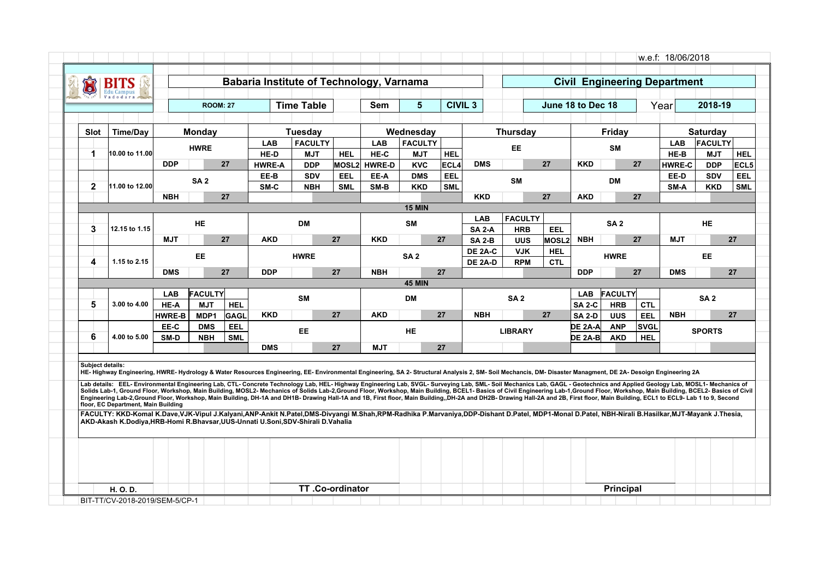| Õ                | Bľ                                                                                                                                                                                                                                                                                                                                                                                                                                                                                                                                                                                                                                                                                                                                                                                                                                                                                                                                                                                                                                                                                                                                                                                                                           |               |                 |                 | Babaria Institute of Technology, Varnama |                          |            |                             |                          |             |                           |                          |                          |                   |                 |             | <b>Civil Engineering Department</b> |                          |                    |
|------------------|------------------------------------------------------------------------------------------------------------------------------------------------------------------------------------------------------------------------------------------------------------------------------------------------------------------------------------------------------------------------------------------------------------------------------------------------------------------------------------------------------------------------------------------------------------------------------------------------------------------------------------------------------------------------------------------------------------------------------------------------------------------------------------------------------------------------------------------------------------------------------------------------------------------------------------------------------------------------------------------------------------------------------------------------------------------------------------------------------------------------------------------------------------------------------------------------------------------------------|---------------|-----------------|-----------------|------------------------------------------|--------------------------|------------|-----------------------------|--------------------------|-------------|---------------------------|--------------------------|--------------------------|-------------------|-----------------|-------------|-------------------------------------|--------------------------|--------------------|
|                  |                                                                                                                                                                                                                                                                                                                                                                                                                                                                                                                                                                                                                                                                                                                                                                                                                                                                                                                                                                                                                                                                                                                                                                                                                              |               |                 | <b>ROOM: 27</b> |                                          | <b>Time Table</b>        |            | <b>Sem</b>                  | 5                        |             | <b>CIVIL 3</b>            |                          |                          | June 18 to Dec 18 |                 |             | Year                                | 2018-19                  |                    |
|                  |                                                                                                                                                                                                                                                                                                                                                                                                                                                                                                                                                                                                                                                                                                                                                                                                                                                                                                                                                                                                                                                                                                                                                                                                                              |               |                 |                 |                                          |                          |            |                             |                          |             |                           |                          |                          |                   |                 |             |                                     |                          |                    |
| <b>Slot</b>      | <b>Time/Day</b>                                                                                                                                                                                                                                                                                                                                                                                                                                                                                                                                                                                                                                                                                                                                                                                                                                                                                                                                                                                                                                                                                                                                                                                                              |               | <b>Monday</b>   |                 |                                          | Tuesdav                  |            |                             | Wednesday                |             |                           | <b>Thursday</b>          |                          |                   | Friday          |             |                                     | <b>Saturday</b>          |                    |
|                  |                                                                                                                                                                                                                                                                                                                                                                                                                                                                                                                                                                                                                                                                                                                                                                                                                                                                                                                                                                                                                                                                                                                                                                                                                              |               | <b>HWRE</b>     |                 | <b>LAB</b>                               | <b>FACULTY</b>           |            | <b>LAB</b>                  | <b>FACULTY</b>           |             |                           | EE.                      |                          |                   | SM              |             | <b>LAB</b>                          | <b>FACULTY</b>           |                    |
| 1                | 10.00 to 11.00                                                                                                                                                                                                                                                                                                                                                                                                                                                                                                                                                                                                                                                                                                                                                                                                                                                                                                                                                                                                                                                                                                                                                                                                               | <b>DDP</b>    |                 | 27              | HE-D                                     | <b>MJT</b>               | <b>HEL</b> | HE-C                        | <b>MJT</b>               | <b>HEL</b>  | <b>DMS</b>                |                          | 27                       | <b>KKD</b>        |                 | 27          | HE-B                                | <b>MJT</b>               | <b>HEL</b>         |
|                  |                                                                                                                                                                                                                                                                                                                                                                                                                                                                                                                                                                                                                                                                                                                                                                                                                                                                                                                                                                                                                                                                                                                                                                                                                              |               |                 |                 | <b>HWRE-A</b><br>EE-B                    | <b>DDP</b><br><b>SDV</b> | EEL        | <b>MOSL2 HWRE-D</b><br>EE-A | <b>KVC</b><br><b>DMS</b> | ECL4<br>EEL |                           |                          |                          |                   |                 |             | <b>HWRE-C</b><br>EE-D               | <b>DDP</b><br><b>SDV</b> | ECL5<br><b>EEL</b> |
| $\mathbf{2}$     | 11.00 to 12.00                                                                                                                                                                                                                                                                                                                                                                                                                                                                                                                                                                                                                                                                                                                                                                                                                                                                                                                                                                                                                                                                                                                                                                                                               |               | SA <sub>2</sub> |                 | SM-C                                     | <b>NBH</b>               | <b>SML</b> | SM-B                        | <b>KKD</b>               | <b>SML</b>  |                           | <b>SM</b>                |                          |                   | <b>DM</b>       |             | SM-A                                | <b>KKD</b>               | <b>SML</b>         |
|                  |                                                                                                                                                                                                                                                                                                                                                                                                                                                                                                                                                                                                                                                                                                                                                                                                                                                                                                                                                                                                                                                                                                                                                                                                                              | <b>NBH</b>    |                 | 27              |                                          |                          |            |                             |                          |             | <b>KKD</b>                |                          | 27                       | <b>AKD</b>        |                 | 27          |                                     |                          |                    |
|                  |                                                                                                                                                                                                                                                                                                                                                                                                                                                                                                                                                                                                                                                                                                                                                                                                                                                                                                                                                                                                                                                                                                                                                                                                                              |               |                 |                 |                                          |                          |            |                             | <b>15 MIN</b>            |             |                           |                          |                          |                   |                 |             |                                     |                          |                    |
|                  |                                                                                                                                                                                                                                                                                                                                                                                                                                                                                                                                                                                                                                                                                                                                                                                                                                                                                                                                                                                                                                                                                                                                                                                                                              |               | HE              |                 |                                          | <b>DM</b>                |            |                             | SΜ                       |             | LAB                       | <b>FACULTY</b>           |                          |                   | SA <sub>2</sub> |             |                                     | HE                       |                    |
| 3                | 12.15 to 1.15                                                                                                                                                                                                                                                                                                                                                                                                                                                                                                                                                                                                                                                                                                                                                                                                                                                                                                                                                                                                                                                                                                                                                                                                                |               |                 |                 |                                          |                          |            |                             |                          |             | <b>SA 2-A</b>             | <b>HRB</b>               | EEL                      |                   |                 |             |                                     |                          |                    |
|                  |                                                                                                                                                                                                                                                                                                                                                                                                                                                                                                                                                                                                                                                                                                                                                                                                                                                                                                                                                                                                                                                                                                                                                                                                                              | <b>MJT</b>    |                 | 27              | <b>AKD</b>                               |                          | 27         | <b>KKD</b>                  |                          | 27          | <b>SA 2-B</b>             | <b>UUS</b>               | <b>MOSL2</b>             | <b>NBH</b>        |                 | 27          | <b>MJT</b>                          |                          | 27                 |
| 4                | 1.15 to 2.15                                                                                                                                                                                                                                                                                                                                                                                                                                                                                                                                                                                                                                                                                                                                                                                                                                                                                                                                                                                                                                                                                                                                                                                                                 |               | EE.             |                 |                                          | <b>HWRE</b>              |            |                             | SA <sub>2</sub>          |             | DE 2A-C<br><b>DE 2A-D</b> | <b>VJK</b><br><b>RPM</b> | <b>HEL</b><br><b>CTL</b> |                   | <b>HWRE</b>     |             |                                     | <b>EE</b>                |                    |
|                  |                                                                                                                                                                                                                                                                                                                                                                                                                                                                                                                                                                                                                                                                                                                                                                                                                                                                                                                                                                                                                                                                                                                                                                                                                              | <b>DMS</b>    |                 | 27              | <b>DDP</b>                               |                          | 27         | <b>NBH</b>                  |                          | 27          |                           |                          |                          | <b>DDP</b>        |                 | 27          | <b>DMS</b>                          |                          | 27                 |
|                  |                                                                                                                                                                                                                                                                                                                                                                                                                                                                                                                                                                                                                                                                                                                                                                                                                                                                                                                                                                                                                                                                                                                                                                                                                              |               |                 |                 |                                          |                          |            |                             | <b>45 MIN</b>            |             |                           |                          |                          |                   |                 |             |                                     |                          |                    |
|                  |                                                                                                                                                                                                                                                                                                                                                                                                                                                                                                                                                                                                                                                                                                                                                                                                                                                                                                                                                                                                                                                                                                                                                                                                                              | <b>LAB</b>    | <b>FACULTY</b>  |                 |                                          | <b>SM</b>                |            |                             | <b>DM</b>                |             |                           | SA <sub>2</sub>          |                          | <b>LAB</b>        | <b>FACULTY</b>  |             |                                     | SA <sub>2</sub>          |                    |
| 5                | 3.00 to 4.00                                                                                                                                                                                                                                                                                                                                                                                                                                                                                                                                                                                                                                                                                                                                                                                                                                                                                                                                                                                                                                                                                                                                                                                                                 | HE-A          | <b>MJT</b>      | <b>HEL</b>      |                                          |                          |            |                             |                          |             |                           |                          |                          | <b>SA 2-C</b>     | <b>HRB</b>      | <b>CTL</b>  |                                     |                          |                    |
|                  |                                                                                                                                                                                                                                                                                                                                                                                                                                                                                                                                                                                                                                                                                                                                                                                                                                                                                                                                                                                                                                                                                                                                                                                                                              | <b>HWRE-B</b> | MDP1            | <b>GAGL</b>     | <b>KKD</b>                               |                          | 27         | <b>AKD</b>                  |                          | 27          | <b>NBH</b>                |                          | 27                       | <b>SA 2-D</b>     | <b>UUS</b>      | EEL         | <b>NBH</b>                          |                          | 27                 |
|                  |                                                                                                                                                                                                                                                                                                                                                                                                                                                                                                                                                                                                                                                                                                                                                                                                                                                                                                                                                                                                                                                                                                                                                                                                                              | EE-C          | <b>DMS</b>      | EEL             |                                          | <b>EE</b>                |            |                             | <b>HE</b>                |             |                           | <b>LIBRARY</b>           |                          | <b>DE 2A-A</b>    | <b>ANP</b>      | <b>SVGL</b> |                                     | <b>SPORTS</b>            |                    |
| 6                | 4.00 to 5.00                                                                                                                                                                                                                                                                                                                                                                                                                                                                                                                                                                                                                                                                                                                                                                                                                                                                                                                                                                                                                                                                                                                                                                                                                 | SM-D          | <b>NBH</b>      | <b>SML</b>      | <b>DMS</b>                               |                          | 27         | <b>MJT</b>                  |                          | 27          |                           |                          |                          | DE 2A-Bl          | <b>AKD</b>      | <b>HEL</b>  |                                     |                          |                    |
|                  |                                                                                                                                                                                                                                                                                                                                                                                                                                                                                                                                                                                                                                                                                                                                                                                                                                                                                                                                                                                                                                                                                                                                                                                                                              |               |                 |                 |                                          |                          |            |                             |                          |             |                           |                          |                          |                   |                 |             |                                     |                          |                    |
| Subject details: | HE-Highway Engineering, HWRE-Hydrology & Water Resources Engineering, EE-Environmental Engineering, SA 2-Structural Analysis 2, SM-Soil Mechancis, DM-Disaster Managment, DE 2A-Desoign Engineering 2A<br>Lab details: EEL-Environmental Engineering Lab, CTL-Concrete Technology Lab, HEL-Highway Engineering Lab, SVGL-Surveying Lab, SML-Soil Mechanics Lab, GAGL - Geotechnics and Applied Geology Lab, MOSL1-Mechanics of<br>Solids Lab-1, Ground Floor, Workshop, Main Building, MOSL2- Mechanics of Solids Lab-2,Ground Floor, Workshop, Main Building, BCEL1- Basics of Civil Engineering Lab-1,Ground Floor, Workshop, Main Building, BCEL2- Basics of<br>Engineering Lab-2,Ground Floor, Workshop, Main Building, DH-1A and DH1B- Drawing Hall-1A and 1B, First floor, Main Building, DH-2A and DH2B- Drawing Hall-2A and 2B, First floor, Main Building, ECL1 to ECL9- Lab 1 to 9, Sec<br>floor, EC Department, Main Building<br>FACULTY: KKD-Komal K.Dave,VJK-Vipul J.Kalyani,ANP-Ankit N.Patel,DMS-Divyangi M.Shah,RPM-Radhika P.Marvaniya,DDP-Dishant D.Patel, MDP1-Monal D.Patel, NBH-Nirali B.Hasilkar,MJT-Mayank J.Thesia,<br>AKD-Akash K.Dodiva.HRB-Homi R.Bhavsar.UUS-Unnati U.Soni.SDV-Shirali D.Vahalia |               |                 |                 |                                          |                          |            |                             |                          |             |                           |                          |                          |                   |                 |             |                                     |                          |                    |
|                  |                                                                                                                                                                                                                                                                                                                                                                                                                                                                                                                                                                                                                                                                                                                                                                                                                                                                                                                                                                                                                                                                                                                                                                                                                              |               |                 |                 |                                          |                          |            |                             |                          |             |                           |                          |                          |                   |                 |             |                                     |                          |                    |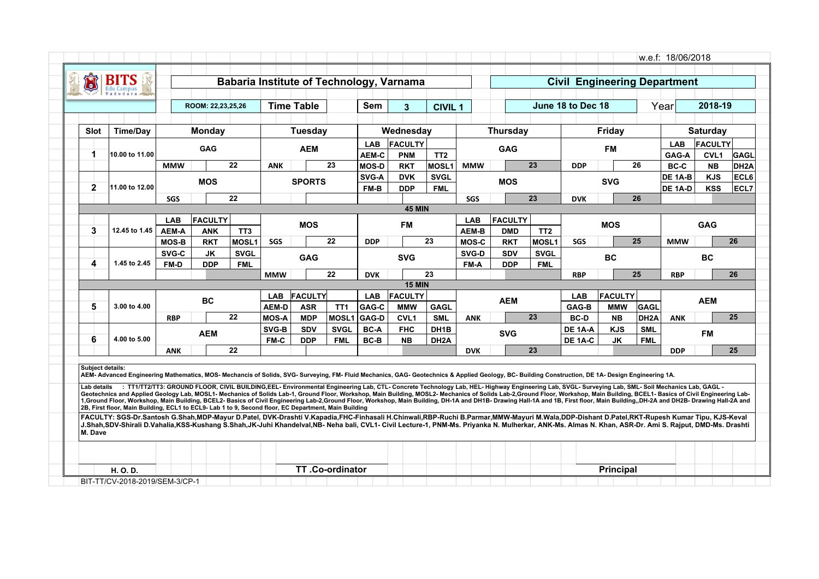| <b>Time/Day</b><br>10.00 to 11.00 | <b>MMW</b>   | ROOM: 22.23.25.26<br><b>Monday</b><br><b>GAG</b> |             |                | <b>Time Table</b><br><b>Tuesday</b> |                          | Sem            | $\mathbf{3}$                 | <b>CIVIL 1</b>            |                                                              |                 |                              |                   |            |                         | Year                             | 2018-19                            |                                      |
|-----------------------------------|--------------|--------------------------------------------------|-------------|----------------|-------------------------------------|--------------------------|----------------|------------------------------|---------------------------|--------------------------------------------------------------|-----------------|------------------------------|-------------------|------------|-------------------------|----------------------------------|------------------------------------|--------------------------------------|
|                                   |              |                                                  |             |                |                                     |                          |                |                              |                           |                                                              |                 |                              | June 18 to Dec 18 |            |                         |                                  |                                    |                                      |
|                                   |              |                                                  |             |                |                                     |                          |                | Wednesday                    |                           |                                                              | <b>Thursday</b> |                              |                   | Friday     |                         |                                  | <b>Saturday</b>                    |                                      |
|                                   |              |                                                  |             |                | <b>AEM</b>                          |                          | LAB<br>AEM-C   | <b>FACULTY</b><br><b>PNM</b> | TT <sub>2</sub>           |                                                              | <b>GAG</b>      |                              |                   | <b>FM</b>  |                         | <b>LAB</b><br>GAG-A              | <b>FACULTY</b><br>CVL <sub>1</sub> | GAGL                                 |
|                                   |              |                                                  | 22          | <b>ANK</b>     |                                     | 23                       | <b>MOS-D</b>   | <b>RKT</b>                   | MOSL1                     | <b>MMW</b>                                                   |                 | 23                           | <b>DDP</b>        |            | 26                      | <b>BC-C</b>                      | <b>NB</b>                          | DH <sub>2</sub> A                    |
| 11.00 to 12.00                    |              | <b>MOS</b>                                       |             |                | <b>SPORTS</b>                       |                          | SVG-A<br>FM-B  | <b>DVK</b><br><b>DDP</b>     | <b>SVGL</b><br><b>FML</b> |                                                              | <b>MOS</b>      |                              |                   | <b>SVG</b> |                         | DE 1A-B<br><b>DE 1A-D</b>        | <b>KJS</b><br><b>KSS</b>           | ECL6<br>ECL7                         |
|                                   | SGS          |                                                  | 22          |                |                                     |                          |                |                              |                           | <b>SGS</b>                                                   |                 | 23                           | <b>DVK</b>        |            |                         |                                  |                                    |                                      |
|                                   |              |                                                  |             |                |                                     |                          |                |                              |                           |                                                              |                 |                              |                   |            |                         |                                  |                                    |                                      |
|                                   | <b>LAB</b>   |                                                  |             |                |                                     |                          |                |                              |                           | <b>LAB</b>                                                   |                 |                              |                   |            |                         |                                  |                                    |                                      |
| 12.45 to 1.45                     | <b>AEM-A</b> | <b>ANK</b>                                       | TT3         |                |                                     |                          |                |                              |                           | <b>AEM-B</b>                                                 | <b>DMD</b>      | TT <sub>2</sub>              |                   |            |                         |                                  |                                    |                                      |
|                                   | <b>MOS-B</b> | <b>RKT</b>                                       | MOSL1       | SGS            |                                     | 22                       | <b>DDP</b>     |                              |                           | <b>MOS-C</b>                                                 | <b>RKT</b>      | MOSL1                        | <b>SGS</b>        |            |                         | <b>MMW</b>                       |                                    | 26                                   |
|                                   | SVG-C        | JK                                               | <b>SVGL</b> |                |                                     |                          |                |                              |                           | SVG-D                                                        | <b>SDV</b>      | <b>SVGL</b>                  |                   |            |                         |                                  |                                    |                                      |
| 1.45 to 2.45                      | FM-D         | <b>DDP</b>                                       | <b>FML</b>  |                |                                     |                          |                |                              |                           | FM-A                                                         | <b>DDP</b>      | <b>FML</b>                   |                   |            |                         |                                  |                                    |                                      |
|                                   |              |                                                  |             | <b>MMW</b>     |                                     | 22                       | <b>DVK</b>     |                              |                           |                                                              |                 |                              | <b>RBP</b>        |            |                         | <b>RBP</b>                       |                                    | 26                                   |
|                                   |              |                                                  |             |                |                                     |                          |                |                              |                           |                                                              |                 |                              |                   |            |                         |                                  |                                    |                                      |
| 3.00 to 4.00                      |              | <b>BC</b>                                        |             | <b>AEM-D</b>   | <b>ASR</b>                          | TT <sub>1</sub>          | GAG-C          | <b>MMW</b>                   | <b>GAGL</b>               |                                                              | <b>AEM</b>      |                              | GAG-B             | <b>MMW</b> | GAGL                    |                                  | <b>AEM</b>                         |                                      |
|                                   | <b>RBP</b>   |                                                  | 22          | <b>MOS-A</b>   | <b>MDP</b>                          | <b>MOSL1</b>             | GAG-D          | <b>CVL1</b>                  | <b>SML</b>                | <b>ANK</b>                                                   |                 |                              | <b>BC-D</b>       | <b>NB</b>  | DH <sub>2</sub> A       | <b>ANK</b>                       |                                    | 25                                   |
|                                   |              |                                                  |             | SVG-B          | <b>SDV</b>                          | <b>SVGL</b>              | <b>BC-A</b>    | <b>FHC</b>                   | DH <sub>1</sub> B         |                                                              |                 |                              | DE 1A-A           | <b>KJS</b> | <b>SML</b>              |                                  |                                    |                                      |
| 4.00 to 5.00                      |              |                                                  |             | <b>FM-C</b>    | <b>DDP</b>                          | <b>FML</b>               | <b>BC-B</b>    | <b>NB</b>                    | DH <sub>2</sub> A         |                                                              |                 |                              | DE 1A-C           | JK         | <b>FML</b>              |                                  |                                    |                                      |
|                                   | <b>ANK</b>   |                                                  | 22          |                |                                     |                          |                |                              |                           | <b>DVK</b>                                                   |                 |                              |                   |            |                         | <b>DDP</b>                       |                                    | 25                                   |
|                                   |              |                                                  | <b>AEM</b>  | <b>FACULTY</b> | <b>LAB</b>                          | <b>MOS</b><br><b>GAG</b> | <b>FACULTY</b> | <b>LAB</b>                   | <b>FM</b><br><b>SVG</b>   | <b>45 MIN</b><br>23<br>23<br><b>15 MIN</b><br><b>FACULTY</b> |                 | <b>FACULTY</b><br><b>SVG</b> | 23<br>23          | <b>LAB</b> | <b>MOS</b><br><b>BC</b> | 26<br>25<br>25<br><b>FACULTY</b> |                                    | <b>GAG</b><br><b>BC</b><br><b>FM</b> |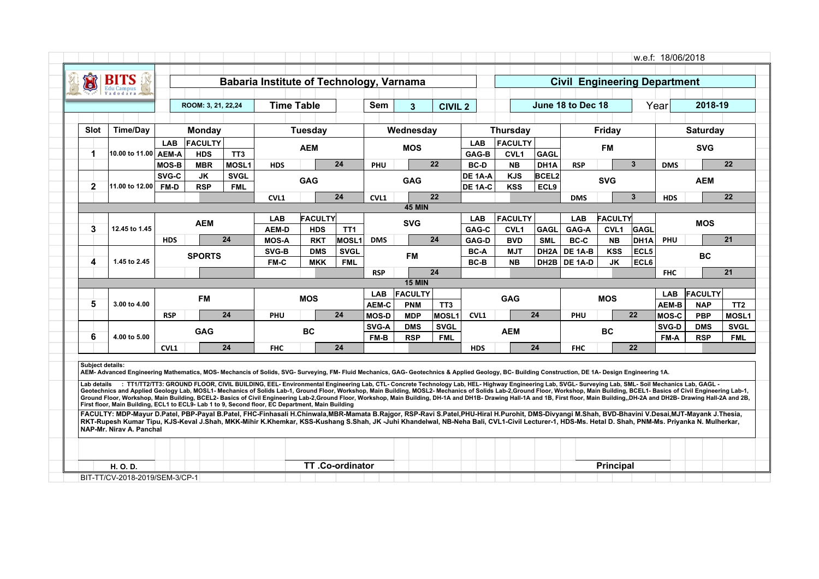| <b>Time/Day</b><br>10.00 to 11.00   AEM-A | <b>LAB</b><br><b>MOS-B</b> | ROOM: 3, 21, 22, 24<br>Monday<br>FACULTY<br><b>HDS</b><br><b>MBR</b> | TT <sub>3</sub>                                        | <b>Time Table</b> | <b>Tuesday</b><br><b>AEM</b> |                                       | <b>Sem</b>                                                       | $\overline{\mathbf{3}}$<br>Wednesday              | <b>CIVIL 2</b>                                          |                                                               |                        |                                                     | June 18 to Dec 18                                                |                  |                                                    | Year                                                            | 2018-19                                           |                                            |
|-------------------------------------------|----------------------------|----------------------------------------------------------------------|--------------------------------------------------------|-------------------|------------------------------|---------------------------------------|------------------------------------------------------------------|---------------------------------------------------|---------------------------------------------------------|---------------------------------------------------------------|------------------------|-----------------------------------------------------|------------------------------------------------------------------|------------------|----------------------------------------------------|-----------------------------------------------------------------|---------------------------------------------------|--------------------------------------------|
|                                           |                            |                                                                      |                                                        |                   |                              |                                       |                                                                  |                                                   |                                                         |                                                               |                        |                                                     |                                                                  |                  |                                                    |                                                                 |                                                   |                                            |
|                                           |                            |                                                                      |                                                        |                   |                              |                                       |                                                                  |                                                   |                                                         |                                                               | <b>Thursday</b>        |                                                     |                                                                  | Friday           |                                                    |                                                                 | <b>Saturday</b>                                   |                                            |
|                                           |                            |                                                                      |                                                        |                   |                              |                                       |                                                                  | <b>MOS</b>                                        |                                                         | <b>LAB</b><br>GAG-B                                           | <b>FACULTY</b><br>CVL1 | <b>GAGL</b>                                         |                                                                  | <b>FM</b>        |                                                    |                                                                 | <b>SVG</b>                                        |                                            |
|                                           |                            |                                                                      | MOSL <sub>1</sub>                                      | <b>HDS</b>        |                              | 24                                    | PHU                                                              |                                                   | 22                                                      | <b>BC-D</b>                                                   | <b>NB</b>              | DH1A                                                | <b>RSP</b>                                                       |                  | $\overline{3}$                                     | <b>DMS</b>                                                      |                                                   | 22                                         |
|                                           | SVG-C                      | JK                                                                   | <b>SVGL</b>                                            |                   |                              |                                       |                                                                  |                                                   |                                                         | DE 1A-A                                                       | <b>KJS</b>             | <b>BCEL2</b>                                        |                                                                  |                  |                                                    |                                                                 |                                                   |                                            |
| 11.00 to 12.00                            | FM-D                       | <b>RSP</b>                                                           | <b>FML</b>                                             |                   | <b>GAG</b>                   |                                       |                                                                  | <b>GAG</b>                                        |                                                         | DE 1A-C                                                       | <b>KSS</b>             | ECL9                                                |                                                                  | <b>SVG</b>       |                                                    |                                                                 | <b>AEM</b>                                        |                                            |
|                                           |                            |                                                                      |                                                        | CVL1              |                              | 24                                    | CVL1                                                             |                                                   | 22                                                      |                                                               |                        |                                                     | <b>DMS</b>                                                       |                  | $\mathbf{3}$                                       | <b>HDS</b>                                                      |                                                   | 22                                         |
|                                           |                            |                                                                      |                                                        |                   |                              |                                       |                                                                  | <b>45 MIN</b>                                     |                                                         |                                                               |                        |                                                     |                                                                  |                  |                                                    |                                                                 |                                                   |                                            |
|                                           |                            |                                                                      |                                                        | <b>LAB</b>        |                              |                                       |                                                                  |                                                   |                                                         | <b>LAB</b>                                                    | <b>FACULTY</b>         |                                                     | LAB                                                              |                  |                                                    |                                                                 |                                                   |                                            |
| 12.45 to 1.45                             |                            |                                                                      |                                                        | <b>AEM-D</b>      | <b>HDS</b>                   | TT <sub>1</sub>                       |                                                                  |                                                   |                                                         | GAG-C                                                         | <b>CVL1</b>            | <b>GAGL</b>                                         | GAG-A                                                            | CVL <sub>1</sub> | <b>GAGL</b>                                        |                                                                 |                                                   |                                            |
|                                           | <b>HDS</b>                 |                                                                      |                                                        | <b>MOS-A</b>      | <b>RKT</b>                   |                                       | <b>DMS</b>                                                       |                                                   |                                                         | GAG-D                                                         | <b>BVD</b>             |                                                     | BC-C                                                             | <b>NB</b>        |                                                    | PHU                                                             |                                                   | 21                                         |
|                                           |                            |                                                                      |                                                        | SVG-B             | <b>DMS</b>                   |                                       |                                                                  | <b>FM</b>                                         |                                                         | <b>BC-A</b>                                                   |                        |                                                     | DE 1A-B                                                          |                  |                                                    |                                                                 | <b>BC</b>                                         |                                            |
| 1.45 to 2.45                              |                            |                                                                      |                                                        |                   |                              |                                       |                                                                  |                                                   |                                                         |                                                               |                        |                                                     |                                                                  |                  |                                                    |                                                                 |                                                   |                                            |
|                                           |                            |                                                                      |                                                        |                   |                              |                                       |                                                                  |                                                   |                                                         |                                                               |                        |                                                     |                                                                  |                  |                                                    |                                                                 |                                                   | 21                                         |
|                                           |                            |                                                                      |                                                        |                   |                              |                                       |                                                                  |                                                   |                                                         |                                                               |                        |                                                     |                                                                  |                  |                                                    |                                                                 |                                                   |                                            |
| 3.00 to 4.00                              |                            |                                                                      |                                                        |                   |                              |                                       |                                                                  |                                                   |                                                         |                                                               |                        |                                                     |                                                                  |                  |                                                    |                                                                 |                                                   | TT <sub>2</sub>                            |
|                                           | <b>RSP</b>                 |                                                                      |                                                        | PHU               |                              |                                       |                                                                  |                                                   |                                                         | CVL1                                                          |                        |                                                     | PHU                                                              |                  |                                                    |                                                                 | <b>PBP</b>                                        | MOSL1                                      |
|                                           |                            |                                                                      |                                                        |                   |                              |                                       | SVG-A                                                            | <b>DMS</b>                                        | <b>SVGL</b>                                             |                                                               |                        |                                                     |                                                                  |                  |                                                    | SVG-D                                                           | <b>DMS</b>                                        | <b>SVGL</b>                                |
| 4.00 to 5.00                              |                            |                                                                      |                                                        |                   |                              |                                       | FM-B                                                             | <b>RSP</b>                                        | <b>FML</b>                                              |                                                               |                        |                                                     |                                                                  |                  |                                                    | FM-A                                                            | <b>RSP</b>                                        | <b>FML</b>                                 |
|                                           |                            |                                                                      |                                                        | <b>FHC</b>        |                              |                                       |                                                                  |                                                   |                                                         | <b>HDS</b>                                                    |                        |                                                     | <b>FHC</b>                                                       |                  |                                                    |                                                                 |                                                   |                                            |
|                                           |                            | CVL1                                                                 | <b>AEM</b><br><b>SPORTS</b><br><b>FM</b><br><b>GAG</b> | 24<br>24<br>24    | FM-C                         | <b>MKK</b><br><b>MOS</b><br><b>BC</b> | FACULTY<br><b>MOSL1</b><br><b>SVGL</b><br><b>FML</b><br>24<br>24 | <b>RSP</b><br><b>LAB</b><br>AEM-C<br><b>MOS-D</b> | <b>SVG</b><br><b>15 MIN</b><br><b>PNM</b><br><b>MDP</b> | 24<br>24<br><b>FACULTY</b><br>TT <sub>3</sub><br><b>MOSL1</b> | BC-B                   | <b>MJT</b><br><b>NB</b><br><b>GAG</b><br><b>AEM</b> | <b>SML</b><br>DH <sub>2</sub> A<br>DH <sub>2</sub> B<br>24<br>24 | DE 1A-D          | <b>KSS</b><br><b>JK</b><br><b>MOS</b><br><b>BC</b> | <b>FACULTY</b><br>DH <sub>1</sub> A<br>ECL5<br>ECL6<br>22<br>22 | <b>FHC</b><br><b>LAB</b><br><b>AEM-B</b><br>MOS-C | <b>MOS</b><br><b>FACULTY</b><br><b>NAP</b> |